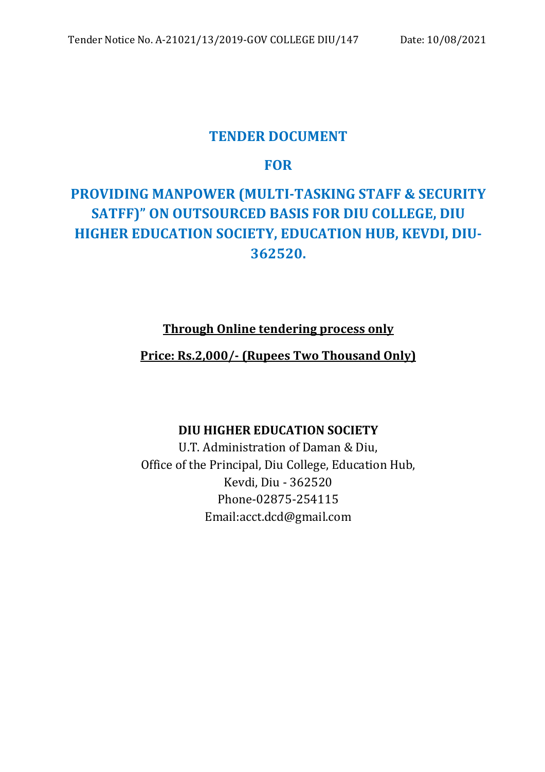# **TENDER DOCUMENT**

# **FOR**

# **PROVIDING MANPOWER (MULTI-TASKING STAFF & SECURITY SATFF)" ON OUTSOURCED BASIS FOR DIU COLLEGE, DIU HIGHER EDUCATION SOCIETY, EDUCATION HUB, KEVDI, DIU-362520.**

# **Through Online tendering process only**

# **Price: Rs.2,000/- (Rupees Two Thousand Only)**

# **DIU HIGHER EDUCATION SOCIETY**

U.T. Administration of Daman & Diu, Office of the Principal, Diu College, Education Hub, Kevdi, Diu - 362520 Phone-02875-254115 Email:acct.dcd@gmail.com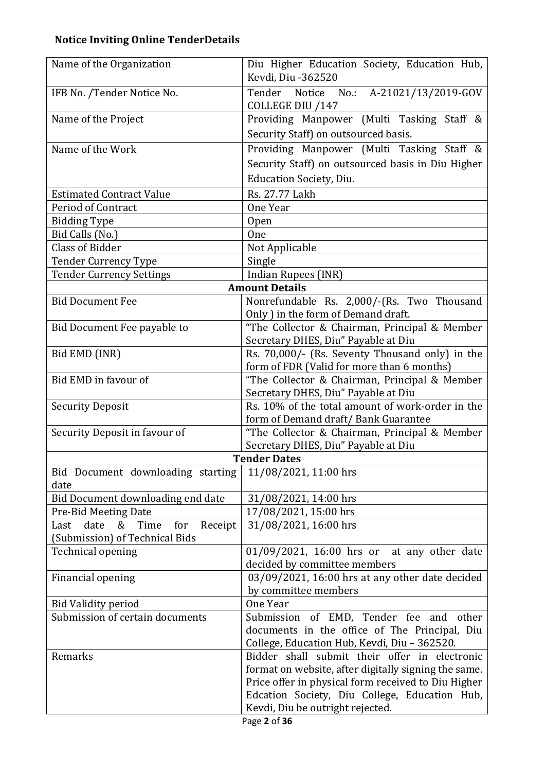# **Notice Inviting Online TenderDetails**

| Name of the Organization                                      | Diu Higher Education Society, Education Hub,<br>Kevdi, Diu -362520                   |  |  |  |
|---------------------------------------------------------------|--------------------------------------------------------------------------------------|--|--|--|
| IFB No. /Tender Notice No.                                    | Tender Notice No.: A-21021/13/2019-GOV<br>COLLEGE DIU /147                           |  |  |  |
| Name of the Project                                           | Providing Manpower (Multi Tasking Staff &                                            |  |  |  |
|                                                               | Security Staff) on outsourced basis.                                                 |  |  |  |
| Name of the Work                                              | Providing Manpower (Multi Tasking Staff &                                            |  |  |  |
|                                                               | Security Staff) on outsourced basis in Diu Higher                                    |  |  |  |
|                                                               | <b>Education Society, Diu.</b>                                                       |  |  |  |
| <b>Estimated Contract Value</b>                               | Rs. 27.77 Lakh                                                                       |  |  |  |
| Period of Contract                                            | One Year                                                                             |  |  |  |
| <b>Bidding Type</b>                                           | <b>Open</b>                                                                          |  |  |  |
| Bid Calls (No.)                                               | One                                                                                  |  |  |  |
| <b>Class of Bidder</b>                                        | Not Applicable                                                                       |  |  |  |
| <b>Tender Currency Type</b>                                   | Single                                                                               |  |  |  |
| <b>Tender Currency Settings</b>                               | Indian Rupees (INR)                                                                  |  |  |  |
|                                                               | <b>Amount Details</b>                                                                |  |  |  |
| <b>Bid Document Fee</b>                                       | Nonrefundable Rs. 2,000/-(Rs. Two Thousand                                           |  |  |  |
|                                                               | Only ) in the form of Demand draft.                                                  |  |  |  |
| Bid Document Fee payable to                                   | "The Collector & Chairman, Principal & Member                                        |  |  |  |
|                                                               | Secretary DHES, Diu" Payable at Diu                                                  |  |  |  |
| Bid EMD (INR)                                                 | Rs. 70,000/- (Rs. Seventy Thousand only) in the                                      |  |  |  |
| Bid EMD in favour of                                          | form of FDR (Valid for more than 6 months)                                           |  |  |  |
|                                                               | "The Collector & Chairman, Principal & Member<br>Secretary DHES, Diu" Payable at Diu |  |  |  |
| <b>Security Deposit</b>                                       | Rs. 10% of the total amount of work-order in the                                     |  |  |  |
|                                                               | form of Demand draft/Bank Guarantee                                                  |  |  |  |
| Security Deposit in favour of                                 | "The Collector & Chairman, Principal & Member                                        |  |  |  |
|                                                               | Secretary DHES, Diu" Payable at Diu                                                  |  |  |  |
|                                                               | <b>Tender Dates</b>                                                                  |  |  |  |
| Bid Document downloading starting<br>date                     | 11/08/2021, 11:00 hrs                                                                |  |  |  |
| Bid Document downloading end date                             | 31/08/2021, 14:00 hrs                                                                |  |  |  |
| Pre-Bid Meeting Date                                          | 17/08/2021, 15:00 hrs                                                                |  |  |  |
| date<br>&<br>Time<br>for<br>Receipt<br>Last                   | 31/08/2021, 16:00 hrs                                                                |  |  |  |
| (Submission) of Technical Bids                                |                                                                                      |  |  |  |
| Technical opening                                             | 01/09/2021, 16:00 hrs or at any other date                                           |  |  |  |
|                                                               | decided by committee members                                                         |  |  |  |
| Financial opening                                             | 03/09/2021, 16:00 hrs at any other date decided                                      |  |  |  |
|                                                               | by committee members<br>One Year                                                     |  |  |  |
| <b>Bid Validity period</b><br>Submission of certain documents | Submission of EMD, Tender fee and other                                              |  |  |  |
|                                                               | documents in the office of The Principal, Diu                                        |  |  |  |
|                                                               | College, Education Hub, Kevdi, Diu - 362520.                                         |  |  |  |
| Remarks                                                       | Bidder shall submit their offer in electronic                                        |  |  |  |
|                                                               | format on website, after digitally signing the same.                                 |  |  |  |
|                                                               | Price offer in physical form received to Diu Higher                                  |  |  |  |
|                                                               | Edcation Society, Diu College, Education Hub,                                        |  |  |  |
|                                                               | Kevdi, Diu be outright rejected.                                                     |  |  |  |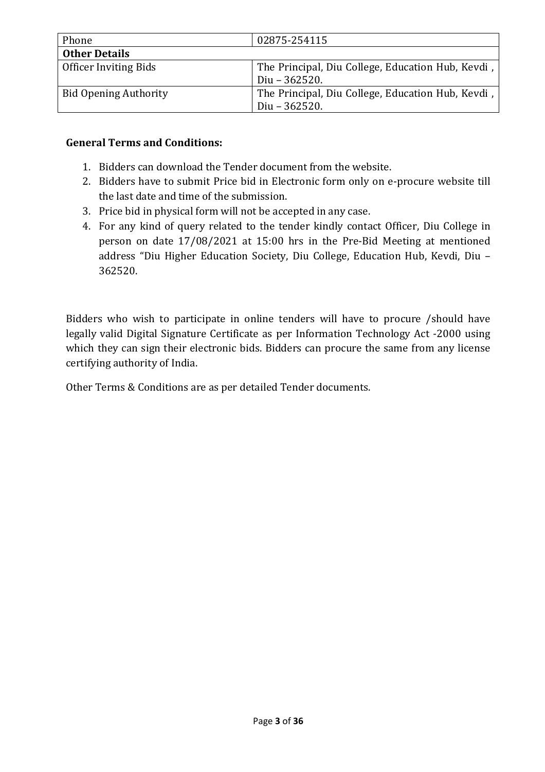| Phone                        | 02875-254115                                      |
|------------------------------|---------------------------------------------------|
| <b>Other Details</b>         |                                                   |
| <b>Officer Inviting Bids</b> | The Principal, Diu College, Education Hub, Kevdi, |
|                              | Diu $-362520$ .                                   |
| <b>Bid Opening Authority</b> | The Principal, Diu College, Education Hub, Kevdi, |
|                              | Diu $-362520$ .                                   |

#### **General Terms and Conditions:**

- 1. Bidders can download the Tender document from the website.
- 2. Bidders have to submit Price bid in Electronic form only on e-procure website till the last date and time of the submission.
- 3. Price bid in physical form will not be accepted in any case.
- 4. For any kind of query related to the tender kindly contact Officer, Diu College in person on date 17/08/2021 at 15:00 hrs in the Pre-Bid Meeting at mentioned address "Diu Higher Education Society, Diu College, Education Hub, Kevdi, Diu – 362520.

Bidders who wish to participate in online tenders will have to procure /should have legally valid Digital Signature Certificate as per Information Technology Act -2000 using which they can sign their electronic bids. Bidders can procure the same from any license certifying authority of India.

Other Terms & Conditions are as per detailed Tender documents.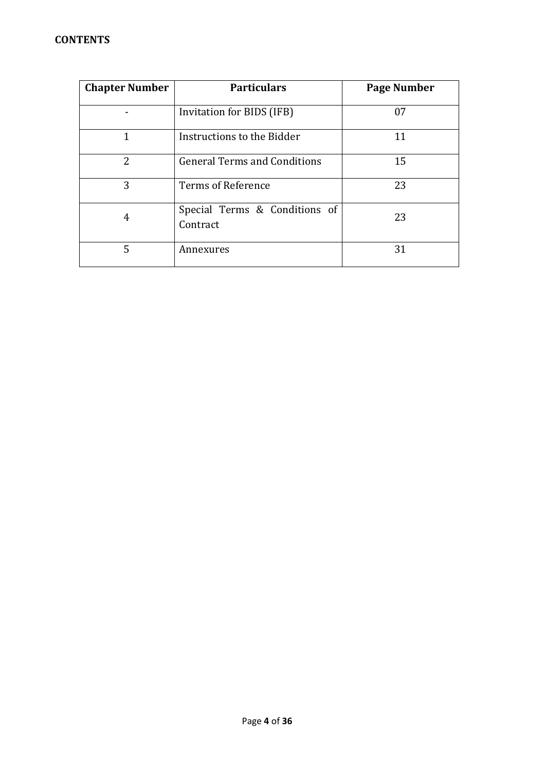| <b>Chapter Number</b> | <b>Particulars</b>                        | Page Number |
|-----------------------|-------------------------------------------|-------------|
|                       | Invitation for BIDS (IFB)                 | 07          |
| 1                     | Instructions to the Bidder                | 11          |
| $\overline{2}$        | <b>General Terms and Conditions</b>       | 15          |
| 3                     | Terms of Reference                        | 23          |
| 4                     | Special Terms & Conditions of<br>Contract | 23          |
| 5                     | Annexures                                 | 31          |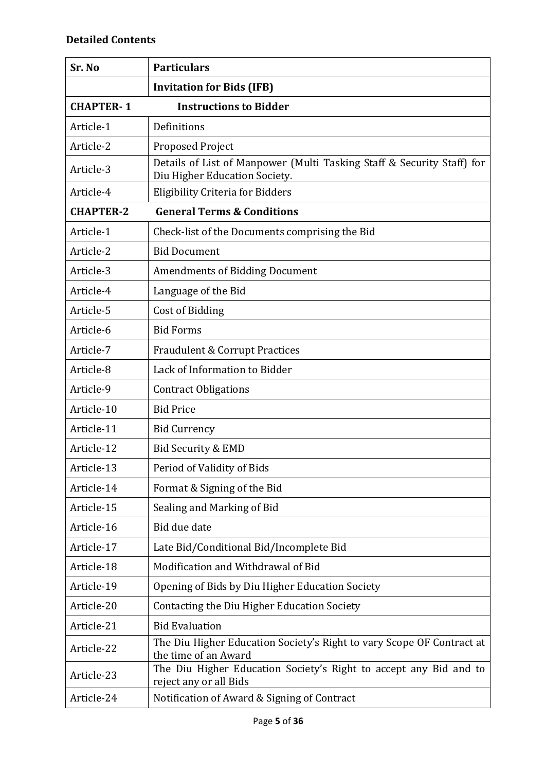| Sr. No           | <b>Particulars</b>                                                                                      |
|------------------|---------------------------------------------------------------------------------------------------------|
|                  | <b>Invitation for Bids (IFB)</b>                                                                        |
| <b>CHAPTER-1</b> | <b>Instructions to Bidder</b>                                                                           |
| Article-1        | Definitions                                                                                             |
| Article-2        | <b>Proposed Project</b>                                                                                 |
| Article-3        | Details of List of Manpower (Multi Tasking Staff & Security Staff) for<br>Diu Higher Education Society. |
| Article-4        | <b>Eligibility Criteria for Bidders</b>                                                                 |
| <b>CHAPTER-2</b> | <b>General Terms &amp; Conditions</b>                                                                   |
| Article-1        | Check-list of the Documents comprising the Bid                                                          |
| Article-2        | <b>Bid Document</b>                                                                                     |
| Article-3        | <b>Amendments of Bidding Document</b>                                                                   |
| Article-4        | Language of the Bid                                                                                     |
| Article-5        | Cost of Bidding                                                                                         |
| Article-6        | <b>Bid Forms</b>                                                                                        |
| Article-7        | <b>Fraudulent &amp; Corrupt Practices</b>                                                               |
| Article-8        | Lack of Information to Bidder                                                                           |
| Article-9        | <b>Contract Obligations</b>                                                                             |
| Article-10       | <b>Bid Price</b>                                                                                        |
| Article-11       | <b>Bid Currency</b>                                                                                     |
| Article-12       | <b>Bid Security &amp; EMD</b>                                                                           |
| Article-13       | Period of Validity of Bids                                                                              |
| Article-14       | Format & Signing of the Bid                                                                             |
| Article-15       | Sealing and Marking of Bid                                                                              |
| Article-16       | Bid due date                                                                                            |
| Article-17       | Late Bid/Conditional Bid/Incomplete Bid                                                                 |
| Article-18       | Modification and Withdrawal of Bid                                                                      |
| Article-19       | Opening of Bids by Diu Higher Education Society                                                         |
| Article-20       | Contacting the Diu Higher Education Society                                                             |
| Article-21       | <b>Bid Evaluation</b>                                                                                   |
| Article-22       | The Diu Higher Education Society's Right to vary Scope OF Contract at<br>the time of an Award           |
| Article-23       | The Diu Higher Education Society's Right to accept any Bid and to<br>reject any or all Bids             |
| Article-24       | Notification of Award & Signing of Contract                                                             |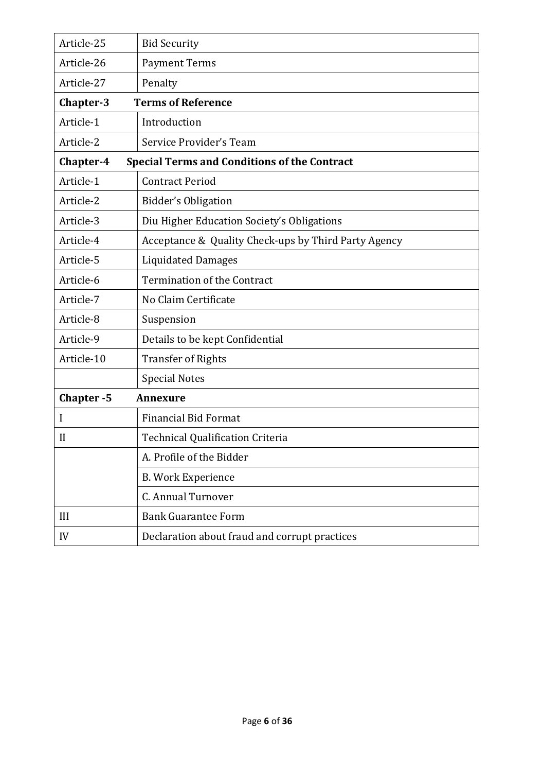| Article-25   | <b>Bid Security</b>                                  |
|--------------|------------------------------------------------------|
| Article-26   | <b>Payment Terms</b>                                 |
| Article-27   | Penalty                                              |
| Chapter-3    | <b>Terms of Reference</b>                            |
| Article-1    | Introduction                                         |
| Article-2    | Service Provider's Team                              |
| Chapter-4    | <b>Special Terms and Conditions of the Contract</b>  |
| Article-1    | <b>Contract Period</b>                               |
| Article-2    | Bidder's Obligation                                  |
| Article-3    | Diu Higher Education Society's Obligations           |
| Article-4    | Acceptance & Quality Check-ups by Third Party Agency |
| Article-5    | <b>Liquidated Damages</b>                            |
| Article-6    | <b>Termination of the Contract</b>                   |
| Article-7    | No Claim Certificate                                 |
| Article-8    | Suspension                                           |
| Article-9    | Details to be kept Confidential                      |
| Article-10   | <b>Transfer of Rights</b>                            |
|              | <b>Special Notes</b>                                 |
| Chapter-5    | <b>Annexure</b>                                      |
| I            | <b>Financial Bid Format</b>                          |
| $\mathbf{I}$ | <b>Technical Qualification Criteria</b>              |
|              | A. Profile of the Bidder                             |
|              | <b>B. Work Experience</b>                            |
|              | C. Annual Turnover                                   |
| III          | <b>Bank Guarantee Form</b>                           |
| IV           | Declaration about fraud and corrupt practices        |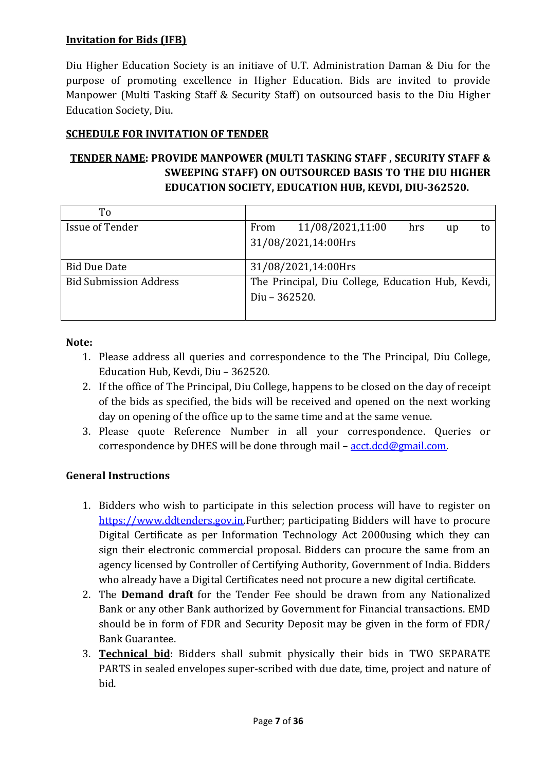#### **Invitation for Bids (IFB)**

Diu Higher Education Society is an initiave of U.T. Administration Daman & Diu for the purpose of promoting excellence in Higher Education. Bids are invited to provide Manpower (Multi Tasking Staff & Security Staff) on outsourced basis to the Diu Higher Education Society, Diu.

#### **SCHEDULE FOR INVITATION OF TENDER**

# **TENDER NAME: PROVIDE MANPOWER (MULTI TASKING STAFF , SECURITY STAFF & SWEEPING STAFF) ON OUTSOURCED BASIS TO THE DIU HIGHER EDUCATION SOCIETY, EDUCATION HUB, KEVDI, DIU-362520.**

| To                            |               |                                                   |     |    |    |
|-------------------------------|---------------|---------------------------------------------------|-----|----|----|
| Issue of Tender               | From          | 11/08/2021,11:00                                  | hrs | up | tο |
|                               |               | 31/08/2021,14:00Hrs                               |     |    |    |
| <b>Bid Due Date</b>           |               | 31/08/2021,14:00Hrs                               |     |    |    |
| <b>Bid Submission Address</b> |               | The Principal, Diu College, Education Hub, Kevdi, |     |    |    |
|                               | Diu - 362520. |                                                   |     |    |    |
|                               |               |                                                   |     |    |    |

#### **Note:**

- 1. Please address all queries and correspondence to the The Principal, Diu College, Education Hub, Kevdi, Diu – 362520.
- 2. If the office of The Principal, Diu College, happens to be closed on the day of receipt of the bids as specified, the bids will be received and opened on the next working day on opening of the office up to the same time and at the same venue.
- 3. Please quote Reference Number in all your correspondence. Queries or correspondence by DHES will be done through mail –  $\frac{\text{act.dcd}\omega_{\text{gmail.com}}}{\text{cert.dcd}}$ .

#### **General Instructions**

- 1. Bidders who wish to participate in this selection process will have to register on https://www.ddtenders.gov.in.Further; participating Bidders will have to procure Digital Certificate as per Information Technology Act 2000using which they can sign their electronic commercial proposal. Bidders can procure the same from an agency licensed by Controller of Certifying Authority, Government of India. Bidders who already have a Digital Certificates need not procure a new digital certificate.
- 2. The **Demand draft** for the Tender Fee should be drawn from any Nationalized Bank or any other Bank authorized by Government for Financial transactions. EMD should be in form of FDR and Security Deposit may be given in the form of FDR/ Bank Guarantee.
- 3. **Technical bid**: Bidders shall submit physically their bids in TWO SEPARATE PARTS in sealed envelopes super-scribed with due date, time, project and nature of bid.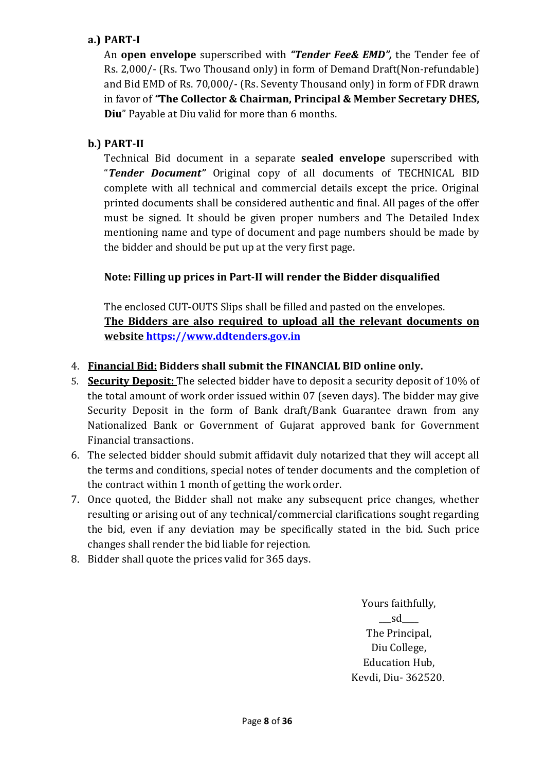### **a.) PART-I**

An **open envelope** superscribed with *"Tender Fee& EMD",* the Tender fee of Rs. 2,000/- (Rs. Two Thousand only) in form of Demand Draft(Non-refundable) and Bid EMD of Rs. 70,000/- (Rs. Seventy Thousand only) in form of FDR drawn in favor of *"***The Collector & Chairman, Principal & Member Secretary DHES, Diu**" Payable at Diu valid for more than 6 months.

### **b.) PART-II**

Technical Bid document in a separate **sealed envelope** superscribed with "*Tender Document"* Original copy of all documents of TECHNICAL BID complete with all technical and commercial details except the price. Original printed documents shall be considered authentic and final. All pages of the offer must be signed. It should be given proper numbers and The Detailed Index mentioning name and type of document and page numbers should be made by the bidder and should be put up at the very first page.

#### **Note: Filling up prices in Part-II will render the Bidder disqualified**

The enclosed CUT-OUTS Slips shall be filled and pasted on the envelopes. **The Bidders are also required to upload all the relevant documents on website https://www.ddtenders.gov.in**

#### 4. **Financial Bid: Bidders shall submit the FINANCIAL BID online only.**

- 5. **Security Deposit:** The selected bidder have to deposit a security deposit of 10% of the total amount of work order issued within 07 (seven days). The bidder may give Security Deposit in the form of Bank draft/Bank Guarantee drawn from any Nationalized Bank or Government of Gujarat approved bank for Government Financial transactions.
- 6. The selected bidder should submit affidavit duly notarized that they will accept all the terms and conditions, special notes of tender documents and the completion of the contract within 1 month of getting the work order.
- 7. Once quoted, the Bidder shall not make any subsequent price changes, whether resulting or arising out of any technical/commercial clarifications sought regarding the bid, even if any deviation may be specifically stated in the bid. Such price changes shall render the bid liable for rejection.
- 8. Bidder shall quote the prices valid for 365 days.

Yours faithfully,  $sd$ The Principal, Diu College, Education Hub, Kevdi, Diu- 362520.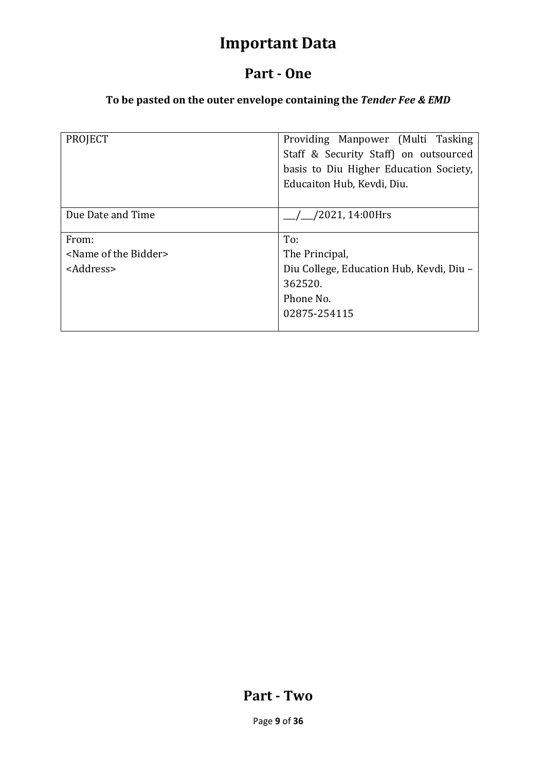# **Important Data**

# **Part - One**

# **To be pasted on the outer envelope containing the** *Tender Fee & EMD*

| <b>PROJECT</b>                       | Providing Manpower (Multi Tasking<br>Staff & Security Staff) on outsourced<br>basis to Diu Higher Education Society, |
|--------------------------------------|----------------------------------------------------------------------------------------------------------------------|
|                                      | Educaiton Hub, Kevdi, Diu.                                                                                           |
| Due Date and Time                    | /2021, 14:00Hrs                                                                                                      |
| From:                                | To:                                                                                                                  |
| <name bidder="" of="" the=""></name> | The Principal,                                                                                                       |
| <address></address>                  | Diu College, Education Hub, Kevdi, Diu -                                                                             |
|                                      | 362520.                                                                                                              |
|                                      | Phone No.                                                                                                            |
|                                      | 02875-254115                                                                                                         |
|                                      |                                                                                                                      |

# **Part - Two**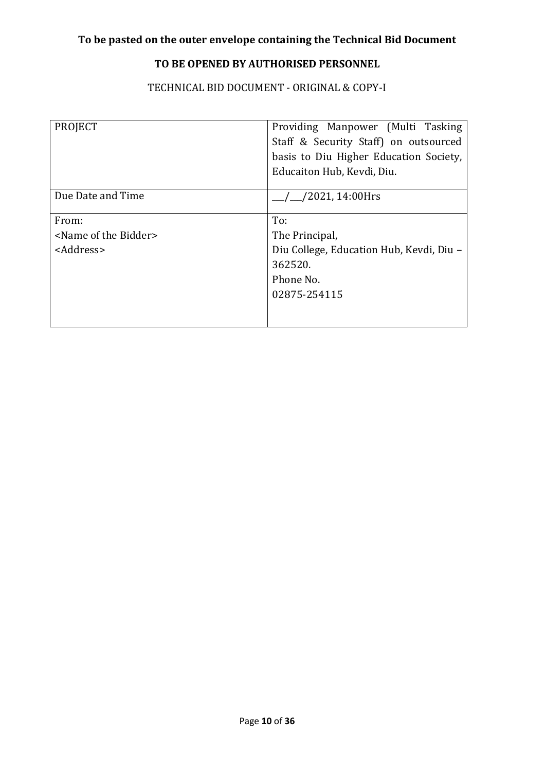# **TO BE OPENED BY AUTHORISED PERSONNEL**

TECHNICAL BID DOCUMENT - ORIGINAL & COPY-I

| Providing Manpower (Multi Tasking<br>Staff & Security Staff) on outsourced<br>basis to Diu Higher Education Society,<br>Educaiton Hub, Kevdi, Diu. |  |  |  |  |
|----------------------------------------------------------------------------------------------------------------------------------------------------|--|--|--|--|
| $\frac{1}{2}$ /2021, 14:00Hrs                                                                                                                      |  |  |  |  |
| To:<br>The Principal,<br>Diu College, Education Hub, Kevdi, Diu -<br>362520.<br>Phone No.<br>02875-254115                                          |  |  |  |  |
|                                                                                                                                                    |  |  |  |  |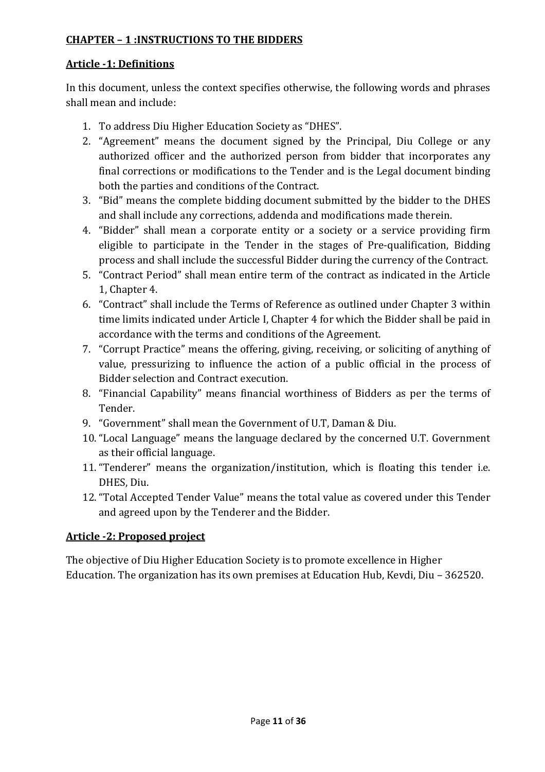#### **CHAPTER – 1 :INSTRUCTIONS TO THE BIDDERS**

#### **Article -1: Definitions**

In this document, unless the context specifies otherwise, the following words and phrases shall mean and include:

- 1. To address Diu Higher Education Society as "DHES".
- 2. "Agreement" means the document signed by the Principal, Diu College or any authorized officer and the authorized person from bidder that incorporates any final corrections or modifications to the Tender and is the Legal document binding both the parties and conditions of the Contract.
- 3. "Bid" means the complete bidding document submitted by the bidder to the DHES and shall include any corrections, addenda and modifications made therein.
- 4. "Bidder" shall mean a corporate entity or a society or a service providing firm eligible to participate in the Tender in the stages of Pre-qualification, Bidding process and shall include the successful Bidder during the currency of the Contract.
- 5. "Contract Period" shall mean entire term of the contract as indicated in the Article 1, Chapter 4.
- 6. "Contract" shall include the Terms of Reference as outlined under Chapter 3 within time limits indicated under Article I, Chapter 4 for which the Bidder shall be paid in accordance with the terms and conditions of the Agreement.
- 7. "Corrupt Practice" means the offering, giving, receiving, or soliciting of anything of value, pressurizing to influence the action of a public official in the process of Bidder selection and Contract execution.
- 8. "Financial Capability" means financial worthiness of Bidders as per the terms of Tender.
- 9. "Government" shall mean the Government of U.T, Daman & Diu.
- 10. "Local Language" means the language declared by the concerned U.T. Government as their official language.
- 11. "Tenderer" means the organization/institution, which is floating this tender i.e. DHES, Diu.
- 12. "Total Accepted Tender Value" means the total value as covered under this Tender and agreed upon by the Tenderer and the Bidder.

#### **Article -2: Proposed project**

The objective of Diu Higher Education Society is to promote excellence in Higher Education. The organization has its own premises at Education Hub, Kevdi, Diu – 362520.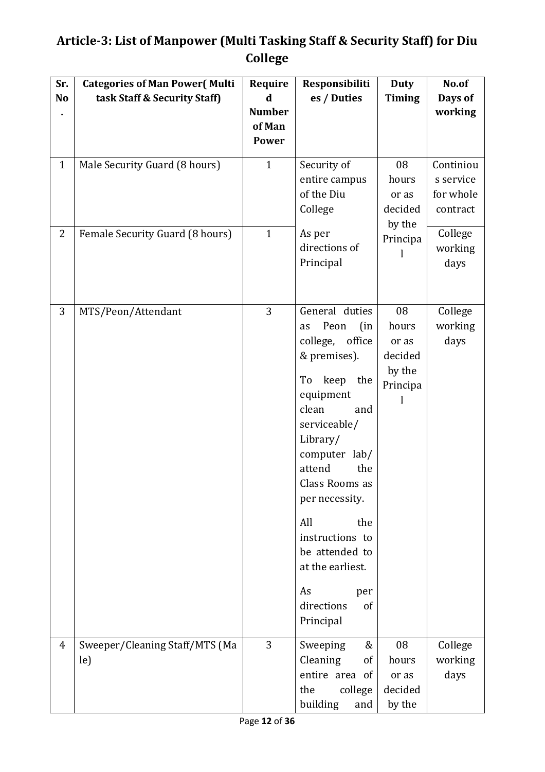# **Article-3: List of Manpower (Multi Tasking Staff & Security Staff) for Diu College**

| Sr.            | <b>Categories of Man Power (Multi</b> | Require       | Responsibiliti                                                                                                                                                                                                                                                                                                                                  | <b>Duty</b>                                           | No.of                      |
|----------------|---------------------------------------|---------------|-------------------------------------------------------------------------------------------------------------------------------------------------------------------------------------------------------------------------------------------------------------------------------------------------------------------------------------------------|-------------------------------------------------------|----------------------------|
| N <sub>o</sub> | task Staff & Security Staff)          | d             | es / Duties                                                                                                                                                                                                                                                                                                                                     | <b>Timing</b>                                         | Days of                    |
|                |                                       | <b>Number</b> |                                                                                                                                                                                                                                                                                                                                                 |                                                       | working                    |
|                |                                       | of Man        |                                                                                                                                                                                                                                                                                                                                                 |                                                       |                            |
|                |                                       | <b>Power</b>  |                                                                                                                                                                                                                                                                                                                                                 |                                                       |                            |
| $\mathbf{1}$   | Male Security Guard (8 hours)         | $\mathbf{1}$  | Security of<br>entire campus                                                                                                                                                                                                                                                                                                                    | 08<br>hours                                           | Continiou<br>s service     |
|                |                                       |               | of the Diu<br>College                                                                                                                                                                                                                                                                                                                           | or as<br>decided<br>by the                            | for whole<br>contract      |
| $\overline{2}$ | Female Security Guard (8 hours)       | $\mathbf{1}$  | As per<br>directions of<br>Principal                                                                                                                                                                                                                                                                                                            | Principa                                              | College<br>working<br>days |
| 3              | MTS/Peon/Attendant                    | 3             | General duties<br>Peon<br>(in<br>as<br>office<br>college,<br>& premises).<br>To keep<br>the<br>equipment<br>clean<br>and<br>serviceable/<br>Library/<br>computer lab/<br>the<br>attend<br>Class Rooms as<br>per necessity.<br>All<br>the<br>instructions to<br>be attended to<br>at the earliest.<br>As<br>per<br>directions<br>of<br>Principal | 08<br>hours<br>or as<br>decided<br>by the<br>Principa | College<br>working<br>days |
| 4              | Sweeper/Cleaning Staff/MTS (Ma<br>le) | 3             | Sweeping<br>&<br>Cleaning<br>of<br>entire area of<br>the<br>college<br>building<br>and                                                                                                                                                                                                                                                          | 08<br>hours<br>or as<br>decided<br>by the             | College<br>working<br>days |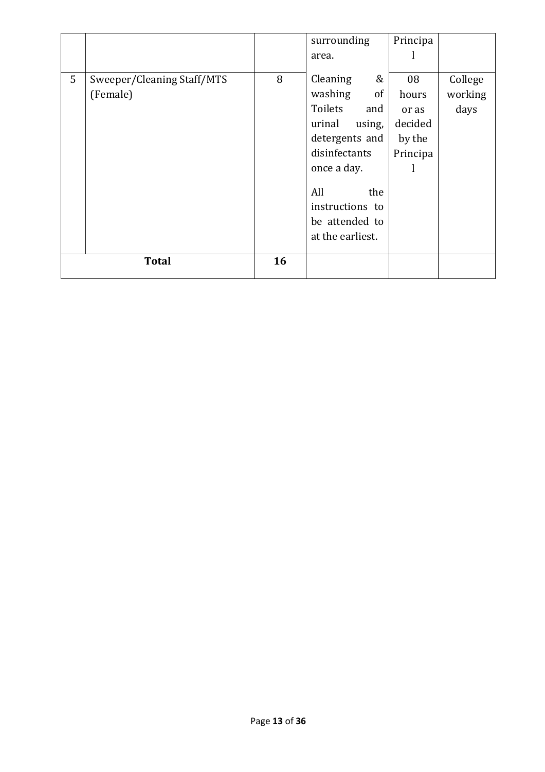|   |                            |    | surrounding      | Principa |         |
|---|----------------------------|----|------------------|----------|---------|
|   |                            |    | area.            |          |         |
|   |                            |    |                  |          |         |
| 5 | Sweeper/Cleaning Staff/MTS | 8  | Cleaning<br>&    | 08       | College |
|   | (Female)                   |    | washing<br>of    | hours    | working |
|   |                            |    | Toilets<br>and   | or as    | days    |
|   |                            |    | urinal<br>using, | decided  |         |
|   |                            |    | detergents and   | by the   |         |
|   |                            |    | disinfectants    | Principa |         |
|   |                            |    | once a day.      |          |         |
|   |                            |    | All<br>the       |          |         |
|   |                            |    | instructions to  |          |         |
|   |                            |    | be attended to   |          |         |
|   |                            |    | at the earliest. |          |         |
|   |                            |    |                  |          |         |
|   | <b>Total</b>               | 16 |                  |          |         |
|   |                            |    |                  |          |         |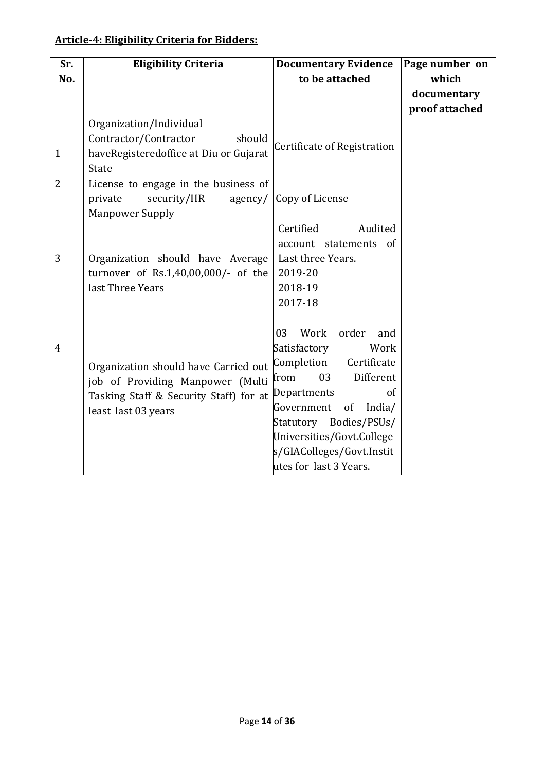# **Article-4: Eligibility Criteria for Bidders:**

| Sr.            | <b>Eligibility Criteria</b>            | <b>Documentary Evidence</b> | Page number on |
|----------------|----------------------------------------|-----------------------------|----------------|
| No.            |                                        | to be attached              | which          |
|                |                                        |                             | documentary    |
|                |                                        |                             | proof attached |
|                | Organization/Individual                |                             |                |
|                | Contractor/Contractor<br>should        | Certificate of Registration |                |
| $\mathbf{1}$   | haveRegisteredoffice at Diu or Gujarat |                             |                |
|                | State                                  |                             |                |
| $\overline{2}$ | License to engage in the business of   |                             |                |
|                | security/HR<br>private<br>agency/      | Copy of License             |                |
|                | <b>Manpower Supply</b>                 |                             |                |
|                |                                        | Certified<br>Audited        |                |
|                |                                        | account statements of       |                |
| 3              | Organization should have Average       | Last three Years.           |                |
|                | turnover of Rs.1,40,00,000/- of the    | 2019-20                     |                |
|                | last Three Years                       | 2018-19                     |                |
|                |                                        | 2017-18                     |                |
|                |                                        |                             |                |
|                |                                        | Work<br>order<br>03<br>and  |                |
| $\overline{4}$ |                                        | Satisfactory<br>Work        |                |
|                | Organization should have Carried out   | Completion<br>Certificate   |                |
|                | job of Providing Manpower (Multi       | 03<br>Different<br>from     |                |
|                | Tasking Staff & Security Staff) for at | Departments<br>of           |                |
|                | least last 03 years                    | Government<br>of<br>India/  |                |
|                |                                        | Statutory Bodies/PSUs/      |                |
|                |                                        | Universities/Govt.College   |                |
|                |                                        | s/GIAColleges/Govt.Instit   |                |
|                |                                        | utes for last 3 Years.      |                |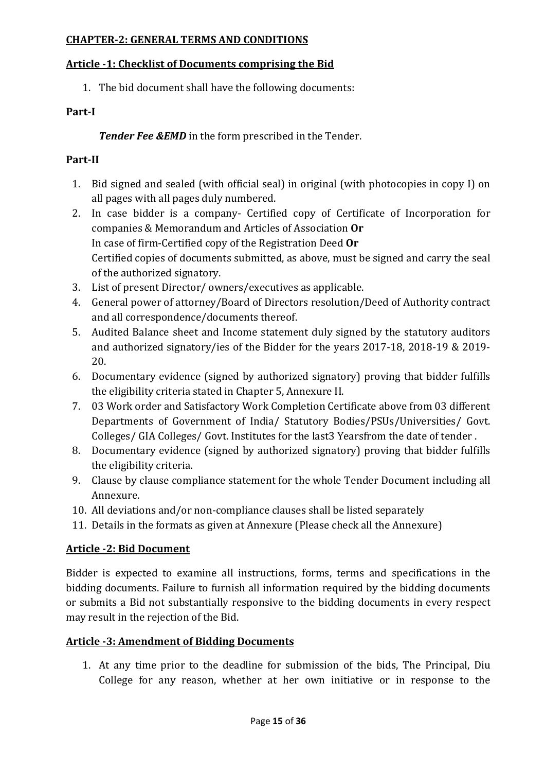#### **CHAPTER-2: GENERAL TERMS AND CONDITIONS**

#### **Article -1: Checklist of Documents comprising the Bid**

1. The bid document shall have the following documents:

#### **Part-I**

*Tender Fee &EMD* in the form prescribed in the Tender.

### **Part-II**

- 1. Bid signed and sealed (with official seal) in original (with photocopies in copy I) on all pages with all pages duly numbered.
- 2. In case bidder is a company- Certified copy of Certificate of Incorporation for companies & Memorandum and Articles of Association **Or** In case of firm-Certified copy of the Registration Deed **Or**  Certified copies of documents submitted, as above, must be signed and carry the seal of the authorized signatory.
- 3. List of present Director/ owners/executives as applicable.
- 4. General power of attorney/Board of Directors resolution/Deed of Authority contract and all correspondence/documents thereof.
- 5. Audited Balance sheet and Income statement duly signed by the statutory auditors and authorized signatory/ies of the Bidder for the years 2017-18, 2018-19 & 2019- 20.
- 6. Documentary evidence (signed by authorized signatory) proving that bidder fulfills the eligibility criteria stated in Chapter 5, Annexure II.
- 7. 03 Work order and Satisfactory Work Completion Certificate above from 03 different Departments of Government of India/ Statutory Bodies/PSUs/Universities/ Govt. Colleges/ GIA Colleges/ Govt. Institutes for the last3 Yearsfrom the date of tender .
- 8. Documentary evidence (signed by authorized signatory) proving that bidder fulfills the eligibility criteria.
- 9. Clause by clause compliance statement for the whole Tender Document including all Annexure.
- 10. All deviations and/or non-compliance clauses shall be listed separately
- 11. Details in the formats as given at Annexure (Please check all the Annexure)

#### **Article -2: Bid Document**

Bidder is expected to examine all instructions, forms, terms and specifications in the bidding documents. Failure to furnish all information required by the bidding documents or submits a Bid not substantially responsive to the bidding documents in every respect may result in the rejection of the Bid.

#### **Article -3: Amendment of Bidding Documents**

1. At any time prior to the deadline for submission of the bids, The Principal, Diu College for any reason, whether at her own initiative or in response to the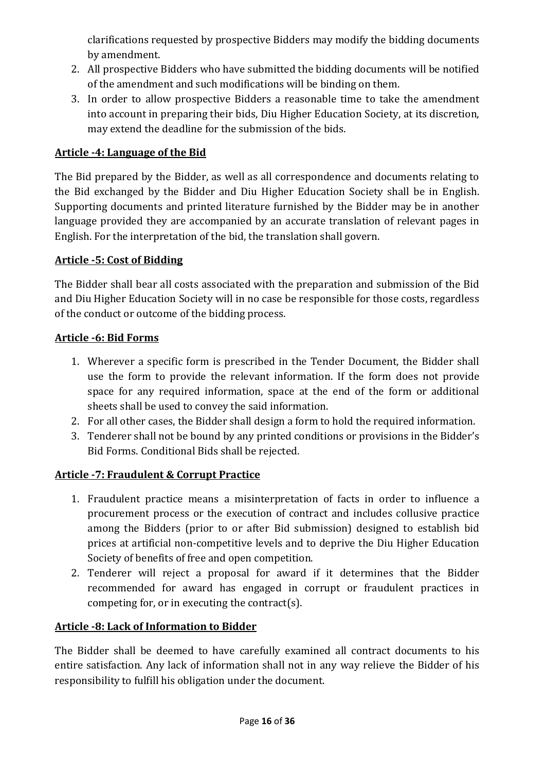clarifications requested by prospective Bidders may modify the bidding documents by amendment.

- 2. All prospective Bidders who have submitted the bidding documents will be notified of the amendment and such modifications will be binding on them.
- 3. In order to allow prospective Bidders a reasonable time to take the amendment into account in preparing their bids, Diu Higher Education Society, at its discretion, may extend the deadline for the submission of the bids.

# **Article -4: Language of the Bid**

The Bid prepared by the Bidder, as well as all correspondence and documents relating to the Bid exchanged by the Bidder and Diu Higher Education Society shall be in English. Supporting documents and printed literature furnished by the Bidder may be in another language provided they are accompanied by an accurate translation of relevant pages in English. For the interpretation of the bid, the translation shall govern.

### **Article -5: Cost of Bidding**

The Bidder shall bear all costs associated with the preparation and submission of the Bid and Diu Higher Education Society will in no case be responsible for those costs, regardless of the conduct or outcome of the bidding process.

### **Article -6: Bid Forms**

- 1. Wherever a specific form is prescribed in the Tender Document, the Bidder shall use the form to provide the relevant information. If the form does not provide space for any required information, space at the end of the form or additional sheets shall be used to convey the said information.
- 2. For all other cases, the Bidder shall design a form to hold the required information.
- 3. Tenderer shall not be bound by any printed conditions or provisions in the Bidder's Bid Forms. Conditional Bids shall be rejected.

# **Article -7: Fraudulent & Corrupt Practice**

- 1. Fraudulent practice means a misinterpretation of facts in order to influence a procurement process or the execution of contract and includes collusive practice among the Bidders (prior to or after Bid submission) designed to establish bid prices at artificial non-competitive levels and to deprive the Diu Higher Education Society of benefits of free and open competition.
- 2. Tenderer will reject a proposal for award if it determines that the Bidder recommended for award has engaged in corrupt or fraudulent practices in competing for, or in executing the contract(s).

# **Article -8: Lack of Information to Bidder**

The Bidder shall be deemed to have carefully examined all contract documents to his entire satisfaction. Any lack of information shall not in any way relieve the Bidder of his responsibility to fulfill his obligation under the document.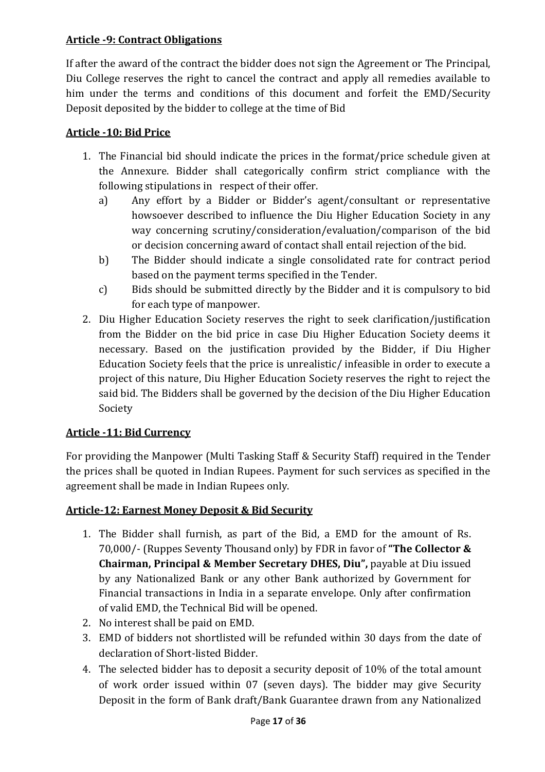### **Article -9: Contract Obligations**

If after the award of the contract the bidder does not sign the Agreement or The Principal, Diu College reserves the right to cancel the contract and apply all remedies available to him under the terms and conditions of this document and forfeit the EMD/Security Deposit deposited by the bidder to college at the time of Bid

### **Article -10: Bid Price**

- 1. The Financial bid should indicate the prices in the format/price schedule given at the Annexure. Bidder shall categorically confirm strict compliance with the following stipulations in respect of their offer.
	- a) Any effort by a Bidder or Bidder's agent/consultant or representative howsoever described to influence the Diu Higher Education Society in any way concerning scrutiny/consideration/evaluation/comparison of the bid or decision concerning award of contact shall entail rejection of the bid.
	- b) The Bidder should indicate a single consolidated rate for contract period based on the payment terms specified in the Tender.
	- c) Bids should be submitted directly by the Bidder and it is compulsory to bid for each type of manpower.
- 2. Diu Higher Education Society reserves the right to seek clarification/justification from the Bidder on the bid price in case Diu Higher Education Society deems it necessary. Based on the justification provided by the Bidder, if Diu Higher Education Society feels that the price is unrealistic/ infeasible in order to execute a project of this nature, Diu Higher Education Society reserves the right to reject the said bid. The Bidders shall be governed by the decision of the Diu Higher Education Society

#### **Article -11: Bid Currency**

For providing the Manpower (Multi Tasking Staff & Security Staff) required in the Tender the prices shall be quoted in Indian Rupees. Payment for such services as specified in the agreement shall be made in Indian Rupees only.

# **Article-12: Earnest Money Deposit & Bid Security**

- 1. The Bidder shall furnish, as part of the Bid, a EMD for the amount of Rs. 70,000/- (Ruppes Seventy Thousand only) by FDR in favor of **"The Collector & Chairman, Principal & Member Secretary DHES, Diu",** payable at Diu issued by any Nationalized Bank or any other Bank authorized by Government for Financial transactions in India in a separate envelope. Only after confirmation of valid EMD, the Technical Bid will be opened.
- 2. No interest shall be paid on EMD.
- 3. EMD of bidders not shortlisted will be refunded within 30 days from the date of declaration of Short-listed Bidder.
- 4. The selected bidder has to deposit a security deposit of 10% of the total amount of work order issued within 07 (seven days). The bidder may give Security Deposit in the form of Bank draft/Bank Guarantee drawn from any Nationalized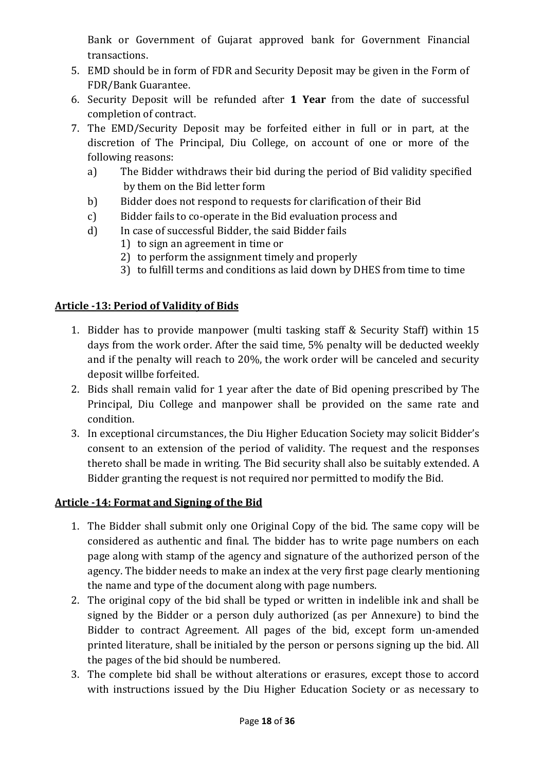Bank or Government of Gujarat approved bank for Government Financial transactions.

- 5. EMD should be in form of FDR and Security Deposit may be given in the Form of FDR/Bank Guarantee.
- 6. Security Deposit will be refunded after **1 Year** from the date of successful completion of contract.
- 7. The EMD/Security Deposit may be forfeited either in full or in part, at the discretion of The Principal, Diu College, on account of one or more of the following reasons:
	- a) The Bidder withdraws their bid during the period of Bid validity specified by them on the Bid letter form
	- b) Bidder does not respond to requests for clarification of their Bid
	- c) Bidder fails to co-operate in the Bid evaluation process and
	- d) In case of successful Bidder, the said Bidder fails
		- 1) to sign an agreement in time or
		- 2) to perform the assignment timely and properly
		- 3) to fulfill terms and conditions as laid down by DHES from time to time

### **Article -13: Period of Validity of Bids**

- 1. Bidder has to provide manpower (multi tasking staff & Security Staff) within 15 days from the work order. After the said time, 5% penalty will be deducted weekly and if the penalty will reach to 20%, the work order will be canceled and security deposit willbe forfeited.
- 2. Bids shall remain valid for 1 year after the date of Bid opening prescribed by The Principal, Diu College and manpower shall be provided on the same rate and condition.
- 3. In exceptional circumstances, the Diu Higher Education Society may solicit Bidder's consent to an extension of the period of validity. The request and the responses thereto shall be made in writing. The Bid security shall also be suitably extended. A Bidder granting the request is not required nor permitted to modify the Bid.

#### **Article -14: Format and Signing of the Bid**

- 1. The Bidder shall submit only one Original Copy of the bid. The same copy will be considered as authentic and final. The bidder has to write page numbers on each page along with stamp of the agency and signature of the authorized person of the agency. The bidder needs to make an index at the very first page clearly mentioning the name and type of the document along with page numbers.
- 2. The original copy of the bid shall be typed or written in indelible ink and shall be signed by the Bidder or a person duly authorized (as per Annexure) to bind the Bidder to contract Agreement. All pages of the bid, except form un-amended printed literature, shall be initialed by the person or persons signing up the bid. All the pages of the bid should be numbered.
- 3. The complete bid shall be without alterations or erasures, except those to accord with instructions issued by the Diu Higher Education Society or as necessary to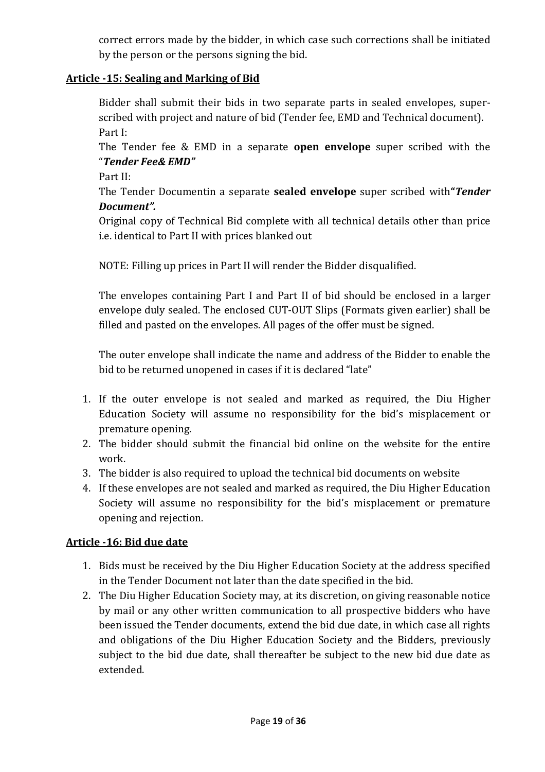correct errors made by the bidder, in which case such corrections shall be initiated by the person or the persons signing the bid.

### **Article -15: Sealing and Marking of Bid**

Bidder shall submit their bids in two separate parts in sealed envelopes, superscribed with project and nature of bid (Tender fee, EMD and Technical document). Part I:

The Tender fee & EMD in a separate **open envelope** super scribed with the "*Tender Fee& EMD"* 

Part II:

The Tender Documentin a separate **sealed envelope** super scribed with**"***Tender Document".*

Original copy of Technical Bid complete with all technical details other than price i.e. identical to Part II with prices blanked out

NOTE: Filling up prices in Part II will render the Bidder disqualified.

The envelopes containing Part I and Part II of bid should be enclosed in a larger envelope duly sealed. The enclosed CUT-OUT Slips (Formats given earlier) shall be filled and pasted on the envelopes. All pages of the offer must be signed.

The outer envelope shall indicate the name and address of the Bidder to enable the bid to be returned unopened in cases if it is declared "late"

- 1. If the outer envelope is not sealed and marked as required, the Diu Higher Education Society will assume no responsibility for the bid's misplacement or premature opening.
- 2. The bidder should submit the financial bid online on the website for the entire work.
- 3. The bidder is also required to upload the technical bid documents on website
- 4. If these envelopes are not sealed and marked as required, the Diu Higher Education Society will assume no responsibility for the bid's misplacement or premature opening and rejection.

# **Article -16: Bid due date**

- 1. Bids must be received by the Diu Higher Education Society at the address specified in the Tender Document not later than the date specified in the bid.
- 2. The Diu Higher Education Society may, at its discretion, on giving reasonable notice by mail or any other written communication to all prospective bidders who have been issued the Tender documents, extend the bid due date, in which case all rights and obligations of the Diu Higher Education Society and the Bidders, previously subject to the bid due date, shall thereafter be subject to the new bid due date as extended.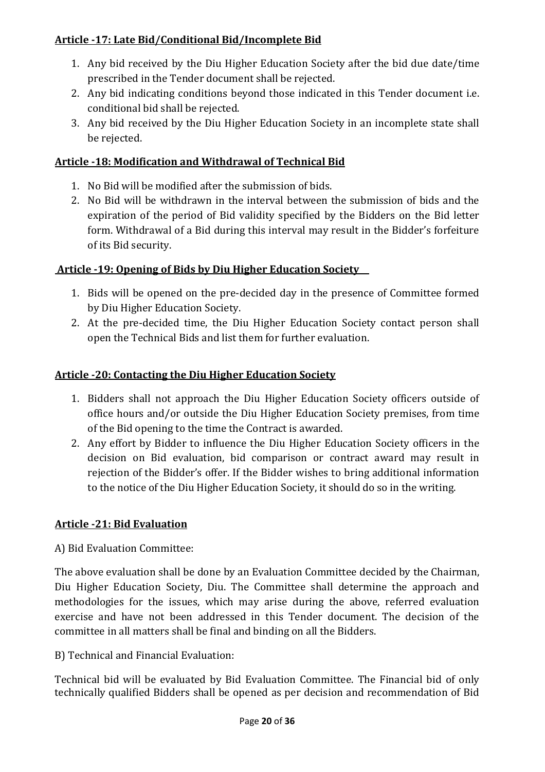### **Article -17: Late Bid/Conditional Bid/Incomplete Bid**

- 1. Any bid received by the Diu Higher Education Society after the bid due date/time prescribed in the Tender document shall be rejected.
- 2. Any bid indicating conditions beyond those indicated in this Tender document i.e. conditional bid shall be rejected.
- 3. Any bid received by the Diu Higher Education Society in an incomplete state shall be rejected.

#### **Article -18: Modification and Withdrawal of Technical Bid**

- 1. No Bid will be modified after the submission of bids.
- 2. No Bid will be withdrawn in the interval between the submission of bids and the expiration of the period of Bid validity specified by the Bidders on the Bid letter form. Withdrawal of a Bid during this interval may result in the Bidder's forfeiture of its Bid security.

#### **Article -19: Opening of Bids by Diu Higher Education Society**

- 1. Bids will be opened on the pre-decided day in the presence of Committee formed by Diu Higher Education Society.
- 2. At the pre-decided time, the Diu Higher Education Society contact person shall open the Technical Bids and list them for further evaluation.

#### **Article -20: Contacting the Diu Higher Education Society**

- 1. Bidders shall not approach the Diu Higher Education Society officers outside of office hours and/or outside the Diu Higher Education Society premises, from time of the Bid opening to the time the Contract is awarded.
- 2. Any effort by Bidder to influence the Diu Higher Education Society officers in the decision on Bid evaluation, bid comparison or contract award may result in rejection of the Bidder's offer. If the Bidder wishes to bring additional information to the notice of the Diu Higher Education Society, it should do so in the writing.

#### **Article -21: Bid Evaluation**

A) Bid Evaluation Committee:

The above evaluation shall be done by an Evaluation Committee decided by the Chairman, Diu Higher Education Society, Diu. The Committee shall determine the approach and methodologies for the issues, which may arise during the above, referred evaluation exercise and have not been addressed in this Tender document. The decision of the committee in all matters shall be final and binding on all the Bidders.

B) Technical and Financial Evaluation:

Technical bid will be evaluated by Bid Evaluation Committee. The Financial bid of only technically qualified Bidders shall be opened as per decision and recommendation of Bid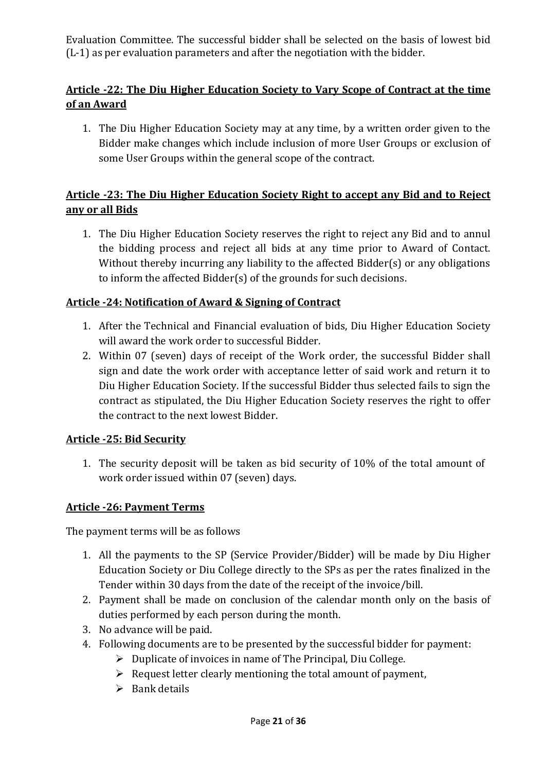Evaluation Committee. The successful bidder shall be selected on the basis of lowest bid (L-1) as per evaluation parameters and after the negotiation with the bidder.

# **Article -22: The Diu Higher Education Society to Vary Scope of Contract at the time of an Award**

1. The Diu Higher Education Society may at any time, by a written order given to the Bidder make changes which include inclusion of more User Groups or exclusion of some User Groups within the general scope of the contract.

# **Article -23: The Diu Higher Education Society Right to accept any Bid and to Reject any or all Bids**

1. The Diu Higher Education Society reserves the right to reject any Bid and to annul the bidding process and reject all bids at any time prior to Award of Contact. Without thereby incurring any liability to the affected Bidder(s) or any obligations to inform the affected Bidder(s) of the grounds for such decisions.

### **Article -24: Notification of Award & Signing of Contract**

- 1. After the Technical and Financial evaluation of bids, Diu Higher Education Society will award the work order to successful Bidder.
- 2. Within 07 (seven) days of receipt of the Work order, the successful Bidder shall sign and date the work order with acceptance letter of said work and return it to Diu Higher Education Society. If the successful Bidder thus selected fails to sign the contract as stipulated, the Diu Higher Education Society reserves the right to offer the contract to the next lowest Bidder.

#### **Article -25: Bid Security**

1. The security deposit will be taken as bid security of 10% of the total amount of work order issued within 07 (seven) days.

#### **Article -26: Payment Terms**

The payment terms will be as follows

- 1. All the payments to the SP (Service Provider/Bidder) will be made by Diu Higher Education Society or Diu College directly to the SPs as per the rates finalized in the Tender within 30 days from the date of the receipt of the invoice/bill.
- 2. Payment shall be made on conclusion of the calendar month only on the basis of duties performed by each person during the month.
- 3. No advance will be paid.
- 4. Following documents are to be presented by the successful bidder for payment:
	- $\triangleright$  Duplicate of invoices in name of The Principal, Diu College.
	- $\triangleright$  Request letter clearly mentioning the total amount of payment,
	- $\triangleright$  Bank details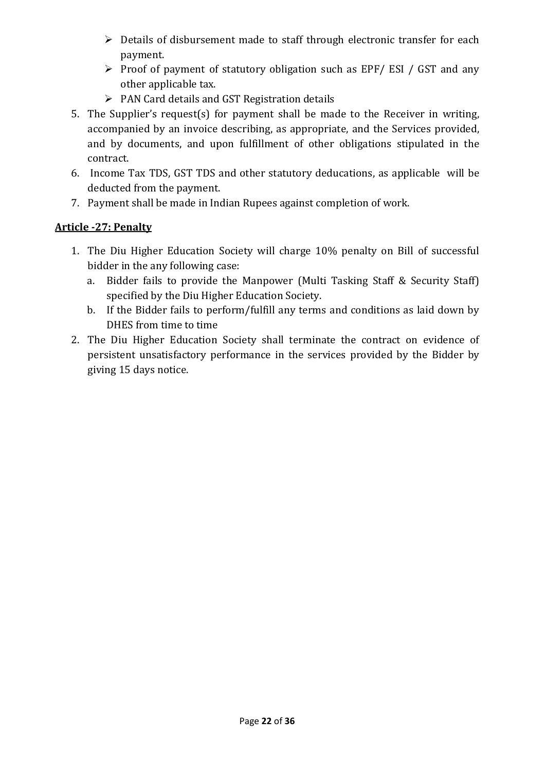- $\triangleright$  Details of disbursement made to staff through electronic transfer for each payment.
- $\triangleright$  Proof of payment of statutory obligation such as EPF/ ESI / GST and any other applicable tax.
- $\triangleright$  PAN Card details and GST Registration details
- 5. The Supplier's request(s) for payment shall be made to the Receiver in writing, accompanied by an invoice describing, as appropriate, and the Services provided, and by documents, and upon fulfillment of other obligations stipulated in the contract.
- 6. Income Tax TDS, GST TDS and other statutory deducations, as applicable will be deducted from the payment.
- 7. Payment shall be made in Indian Rupees against completion of work.

# **Article -27: Penalty**

- 1. The Diu Higher Education Society will charge 10% penalty on Bill of successful bidder in the any following case:
	- a. Bidder fails to provide the Manpower (Multi Tasking Staff & Security Staff) specified by the Diu Higher Education Society.
	- b. If the Bidder fails to perform/fulfill any terms and conditions as laid down by DHES from time to time
- 2. The Diu Higher Education Society shall terminate the contract on evidence of persistent unsatisfactory performance in the services provided by the Bidder by giving 15 days notice.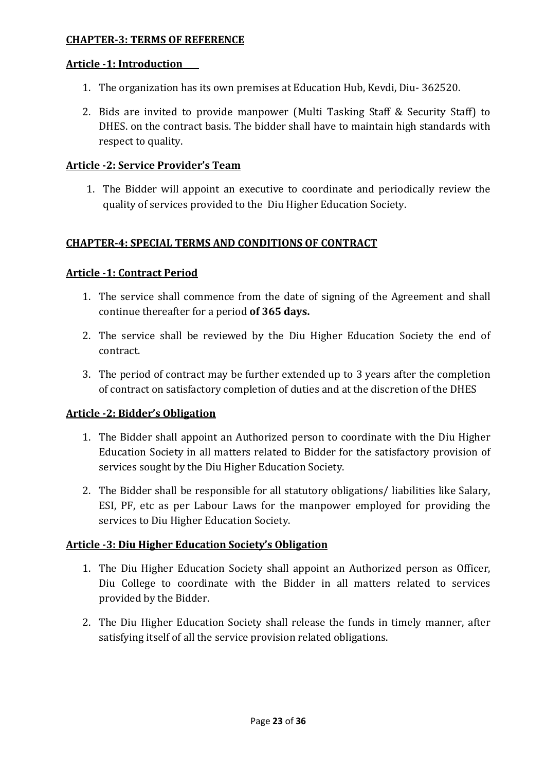#### **CHAPTER-3: TERMS OF REFERENCE**

#### **Article -1: Introduction**

- 1. The organization has its own premises at Education Hub, Kevdi, Diu- 362520.
- 2. Bids are invited to provide manpower (Multi Tasking Staff & Security Staff) to DHES. on the contract basis. The bidder shall have to maintain high standards with respect to quality.

#### **Article -2: Service Provider's Team**

1. The Bidder will appoint an executive to coordinate and periodically review the quality of services provided to the Diu Higher Education Society.

#### **CHAPTER-4: SPECIAL TERMS AND CONDITIONS OF CONTRACT**

#### **Article -1: Contract Period**

- 1. The service shall commence from the date of signing of the Agreement and shall continue thereafter for a period **of 365 days.**
- 2. The service shall be reviewed by the Diu Higher Education Society the end of contract.
- 3. The period of contract may be further extended up to 3 years after the completion of contract on satisfactory completion of duties and at the discretion of the DHES

#### **Article -2: Bidder's Obligation**

- 1. The Bidder shall appoint an Authorized person to coordinate with the Diu Higher Education Society in all matters related to Bidder for the satisfactory provision of services sought by the Diu Higher Education Society.
- 2. The Bidder shall be responsible for all statutory obligations/ liabilities like Salary, ESI, PF, etc as per Labour Laws for the manpower employed for providing the services to Diu Higher Education Society.

#### **Article -3: Diu Higher Education Society's Obligation**

- 1. The Diu Higher Education Society shall appoint an Authorized person as Officer, Diu College to coordinate with the Bidder in all matters related to services provided by the Bidder.
- 2. The Diu Higher Education Society shall release the funds in timely manner, after satisfying itself of all the service provision related obligations.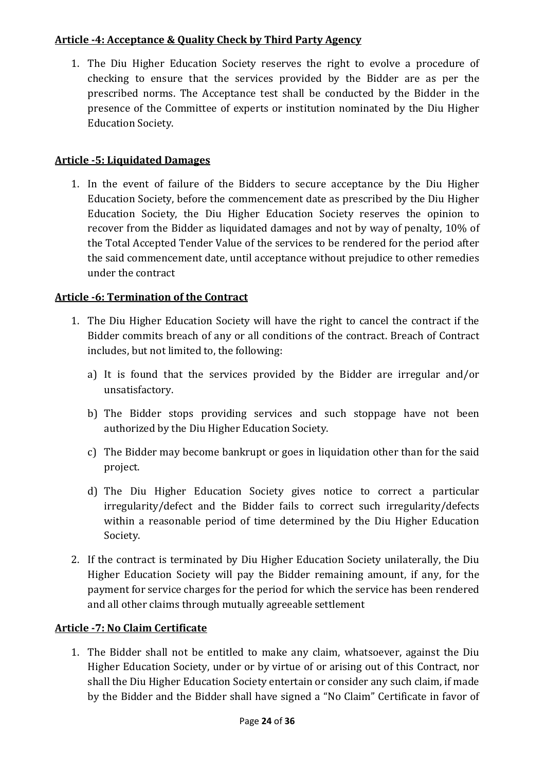### **Article -4: Acceptance & Quality Check by Third Party Agency**

1. The Diu Higher Education Society reserves the right to evolve a procedure of checking to ensure that the services provided by the Bidder are as per the prescribed norms. The Acceptance test shall be conducted by the Bidder in the presence of the Committee of experts or institution nominated by the Diu Higher Education Society.

# **Article -5: Liquidated Damages**

1. In the event of failure of the Bidders to secure acceptance by the Diu Higher Education Society, before the commencement date as prescribed by the Diu Higher Education Society, the Diu Higher Education Society reserves the opinion to recover from the Bidder as liquidated damages and not by way of penalty, 10% of the Total Accepted Tender Value of the services to be rendered for the period after the said commencement date, until acceptance without prejudice to other remedies under the contract

### **Article -6: Termination of the Contract**

- 1. The Diu Higher Education Society will have the right to cancel the contract if the Bidder commits breach of any or all conditions of the contract. Breach of Contract includes, but not limited to, the following:
	- a) It is found that the services provided by the Bidder are irregular and/or unsatisfactory.
	- b) The Bidder stops providing services and such stoppage have not been authorized by the Diu Higher Education Society.
	- c) The Bidder may become bankrupt or goes in liquidation other than for the said project.
	- d) The Diu Higher Education Society gives notice to correct a particular irregularity/defect and the Bidder fails to correct such irregularity/defects within a reasonable period of time determined by the Diu Higher Education Society.
- 2. If the contract is terminated by Diu Higher Education Society unilaterally, the Diu Higher Education Society will pay the Bidder remaining amount, if any, for the payment for service charges for the period for which the service has been rendered and all other claims through mutually agreeable settlement

#### **Article -7: No Claim Certificate**

1. The Bidder shall not be entitled to make any claim, whatsoever, against the Diu Higher Education Society, under or by virtue of or arising out of this Contract, nor shall the Diu Higher Education Society entertain or consider any such claim, if made by the Bidder and the Bidder shall have signed a "No Claim" Certificate in favor of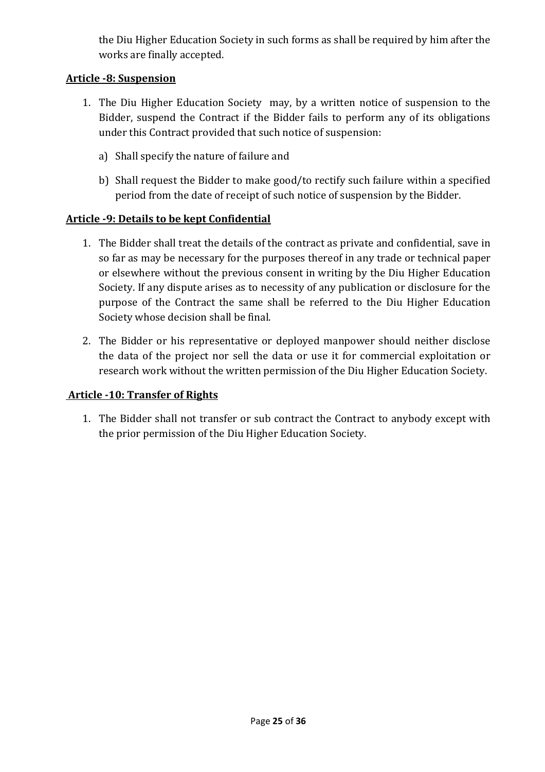the Diu Higher Education Society in such forms as shall be required by him after the works are finally accepted.

#### **Article -8: Suspension**

- 1. The Diu Higher Education Society may, by a written notice of suspension to the Bidder, suspend the Contract if the Bidder fails to perform any of its obligations under this Contract provided that such notice of suspension:
	- a) Shall specify the nature of failure and
	- b) Shall request the Bidder to make good/to rectify such failure within a specified period from the date of receipt of such notice of suspension by the Bidder.

# **Article -9: Details to be kept Confidential**

- 1. The Bidder shall treat the details of the contract as private and confidential, save in so far as may be necessary for the purposes thereof in any trade or technical paper or elsewhere without the previous consent in writing by the Diu Higher Education Society. If any dispute arises as to necessity of any publication or disclosure for the purpose of the Contract the same shall be referred to the Diu Higher Education Society whose decision shall be final.
- 2. The Bidder or his representative or deployed manpower should neither disclose the data of the project nor sell the data or use it for commercial exploitation or research work without the written permission of the Diu Higher Education Society.

#### **Article -10: Transfer of Rights**

1. The Bidder shall not transfer or sub contract the Contract to anybody except with the prior permission of the Diu Higher Education Society.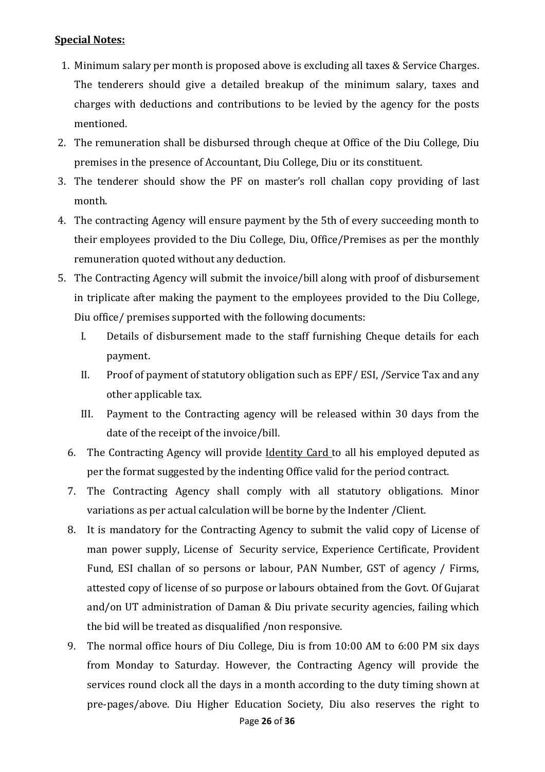#### **Special Notes:**

- 1. Minimum salary per month is proposed above is excluding all taxes & Service Charges. The tenderers should give a detailed breakup of the minimum salary, taxes and charges with deductions and contributions to be levied by the agency for the posts mentioned.
- 2. The remuneration shall be disbursed through cheque at Office of the Diu College, Diu premises in the presence of Accountant, Diu College, Diu or its constituent.
- 3. The tenderer should show the PF on master's roll challan copy providing of last month.
- 4. The contracting Agency will ensure payment by the 5th of every succeeding month to their employees provided to the Diu College, Diu, Office/Premises as per the monthly remuneration quoted without any deduction.
- 5. The Contracting Agency will submit the invoice/bill along with proof of disbursement in triplicate after making the payment to the employees provided to the Diu College, Diu office/ premises supported with the following documents:
	- I. Details of disbursement made to the staff furnishing Cheque details for each payment.
	- II. Proof of payment of statutory obligation such as EPF/ ESI, /Service Tax and any other applicable tax.
	- III. Payment to the Contracting agency will be released within 30 days from the date of the receipt of the invoice/bill.
	- 6. The Contracting Agency will provide Identity Card to all his employed deputed as per the format suggested by the indenting Office valid for the period contract.
	- 7. The Contracting Agency shall comply with all statutory obligations. Minor variations as per actual calculation will be borne by the Indenter /Client.
	- 8. It is mandatory for the Contracting Agency to submit the valid copy of License of man power supply, License of Security service, Experience Certificate, Provident Fund, ESI challan of so persons or labour, PAN Number, GST of agency / Firms, attested copy of license of so purpose or labours obtained from the Govt. Of Gujarat and/on UT administration of Daman & Diu private security agencies, failing which the bid will be treated as disqualified /non responsive.
	- 9. The normal office hours of Diu College, Diu is from 10:00 AM to 6:00 PM six days from Monday to Saturday. However, the Contracting Agency will provide the services round clock all the days in a month according to the duty timing shown at pre-pages/above. Diu Higher Education Society, Diu also reserves the right to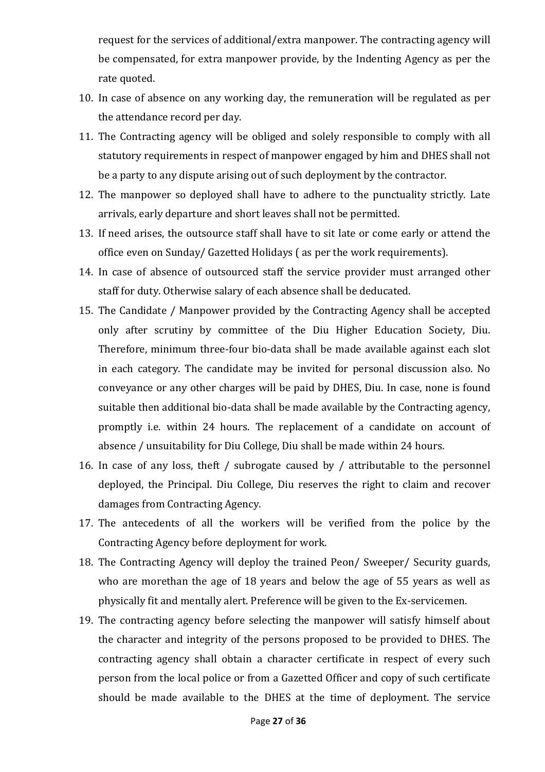request for the services of additional/extra manpower. The contracting agency will be compensated, for extra manpower provide, by the Indenting Agency as per the rate quoted.

- 10. In case of absence on any working day, the remuneration will be regulated as per the attendance record per day.
- 11. The Contracting agency will be obliged and solely responsible to comply with all statutory requirements in respect of manpower engaged by him and DHES shall not be a party to any dispute arising out of such deployment by the contractor.
- 12. The manpower so deployed shall have to adhere to the punctuality strictly. Late arrivals, early departure and short leaves shall not be permitted.
- 13. If need arises, the outsource staff shall have to sit late or come early or attend the office even on Sunday/ Gazetted Holidays ( as per the work requirements).
- 14. In case of absence of outsourced staff the service provider must arranged other staff for duty. Otherwise salary of each absence shall be deducated.
- 15. The Candidate / Manpower provided by the Contracting Agency shall be accepted only after scrutiny by committee of the Diu Higher Education Society, Diu. Therefore, minimum three-four bio-data shall be made available against each slot in each category. The candidate may be invited for personal discussion also. No conveyance or any other charges will be paid by DHES, Diu. In case, none is found suitable then additional bio-data shall be made available by the Contracting agency, promptly i.e. within 24 hours. The replacement of a candidate on account of absence / unsuitability for Diu College, Diu shall be made within 24 hours.
- 16. In case of any loss, theft / subrogate caused by / attributable to the personnel deployed, the Principal. Diu College, Diu reserves the right to claim and recover damages from Contracting Agency.
- 17. The antecedents of all the workers will be verified from the police by the Contracting Agency before deployment for work.
- 18. The Contracting Agency will deploy the trained Peon/ Sweeper/ Security guards, who are morethan the age of 18 years and below the age of 55 years as well as physically fit and mentally alert. Preference will be given to the Ex-servicemen.
- 19. The contracting agency before selecting the manpower will satisfy himself about the character and integrity of the persons proposed to be provided to DHES. The contracting agency shall obtain a character certificate in respect of every such person from the local police or from a Gazetted Officer and copy of such certificate should be made available to the DHES at the time of deployment. The service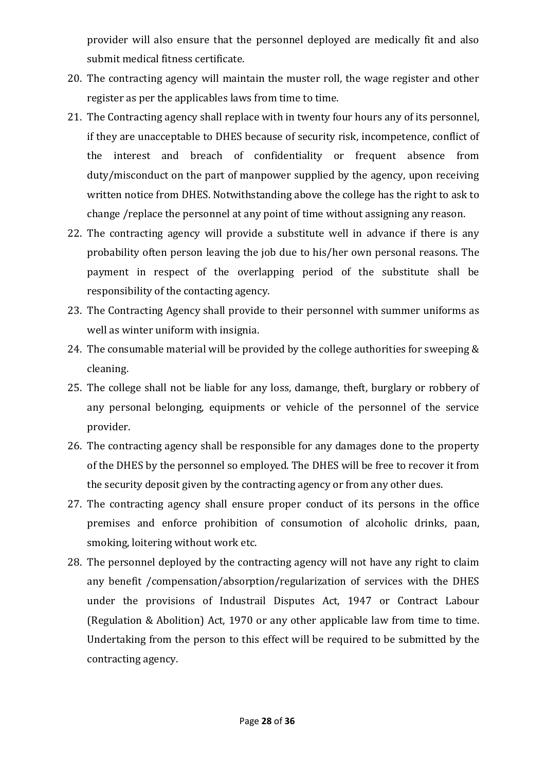provider will also ensure that the personnel deployed are medically fit and also submit medical fitness certificate.

- 20. The contracting agency will maintain the muster roll, the wage register and other register as per the applicables laws from time to time.
- 21. The Contracting agency shall replace with in twenty four hours any of its personnel, if they are unacceptable to DHES because of security risk, incompetence, conflict of the interest and breach of confidentiality or frequent absence from duty/misconduct on the part of manpower supplied by the agency, upon receiving written notice from DHES. Notwithstanding above the college has the right to ask to change /replace the personnel at any point of time without assigning any reason.
- 22. The contracting agency will provide a substitute well in advance if there is any probability often person leaving the job due to his/her own personal reasons. The payment in respect of the overlapping period of the substitute shall be responsibility of the contacting agency.
- 23. The Contracting Agency shall provide to their personnel with summer uniforms as well as winter uniform with insignia.
- 24. The consumable material will be provided by the college authorities for sweeping & cleaning.
- 25. The college shall not be liable for any loss, damange, theft, burglary or robbery of any personal belonging, equipments or vehicle of the personnel of the service provider.
- 26. The contracting agency shall be responsible for any damages done to the property of the DHES by the personnel so employed. The DHES will be free to recover it from the security deposit given by the contracting agency or from any other dues.
- 27. The contracting agency shall ensure proper conduct of its persons in the office premises and enforce prohibition of consumotion of alcoholic drinks, paan, smoking, loitering without work etc.
- 28. The personnel deployed by the contracting agency will not have any right to claim any benefit /compensation/absorption/regularization of services with the DHES under the provisions of Industrail Disputes Act, 1947 or Contract Labour (Regulation & Abolition) Act, 1970 or any other applicable law from time to time. Undertaking from the person to this effect will be required to be submitted by the contracting agency.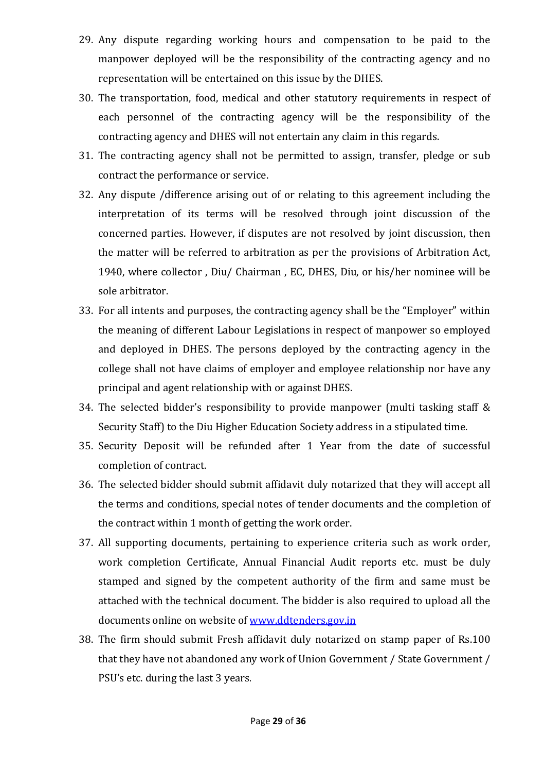- 29. Any dispute regarding working hours and compensation to be paid to the manpower deployed will be the responsibility of the contracting agency and no representation will be entertained on this issue by the DHES.
- 30. The transportation, food, medical and other statutory requirements in respect of each personnel of the contracting agency will be the responsibility of the contracting agency and DHES will not entertain any claim in this regards.
- 31. The contracting agency shall not be permitted to assign, transfer, pledge or sub contract the performance or service.
- 32. Any dispute /difference arising out of or relating to this agreement including the interpretation of its terms will be resolved through joint discussion of the concerned parties. However, if disputes are not resolved by joint discussion, then the matter will be referred to arbitration as per the provisions of Arbitration Act, 1940, where collector , Diu/ Chairman , EC, DHES, Diu, or his/her nominee will be sole arbitrator.
- 33. For all intents and purposes, the contracting agency shall be the "Employer" within the meaning of different Labour Legislations in respect of manpower so employed and deployed in DHES. The persons deployed by the contracting agency in the college shall not have claims of employer and employee relationship nor have any principal and agent relationship with or against DHES.
- 34. The selected bidder's responsibility to provide manpower (multi tasking staff & Security Staff) to the Diu Higher Education Society address in a stipulated time.
- 35. Security Deposit will be refunded after 1 Year from the date of successful completion of contract.
- 36. The selected bidder should submit affidavit duly notarized that they will accept all the terms and conditions, special notes of tender documents and the completion of the contract within 1 month of getting the work order.
- 37. All supporting documents, pertaining to experience criteria such as work order, work completion Certificate, Annual Financial Audit reports etc. must be duly stamped and signed by the competent authority of the firm and same must be attached with the technical document. The bidder is also required to upload all the documents online on website of www.ddtenders.gov.in
- 38. The firm should submit Fresh affidavit duly notarized on stamp paper of Rs.100 that they have not abandoned any work of Union Government / State Government / PSU's etc. during the last 3 years.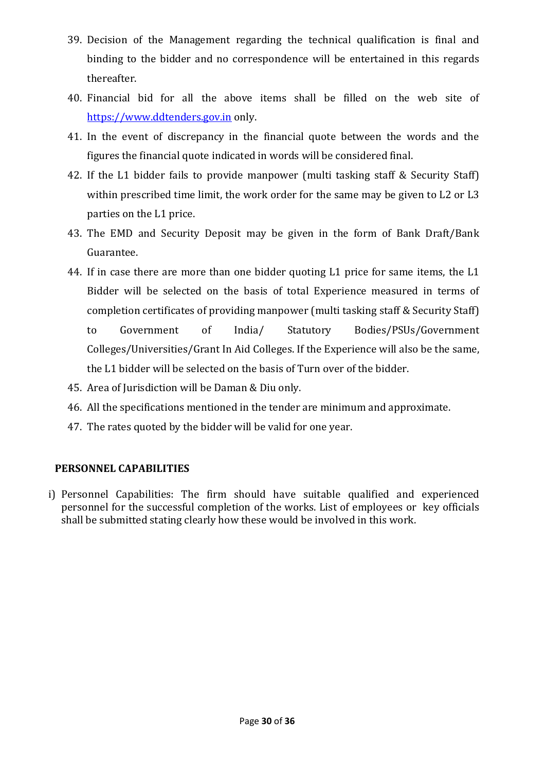- 39. Decision of the Management regarding the technical qualification is final and binding to the bidder and no correspondence will be entertained in this regards thereafter.
- 40. Financial bid for all the above items shall be filled on the web site of https://www.ddtenders.gov.in only.
- 41. In the event of discrepancy in the financial quote between the words and the figures the financial quote indicated in words will be considered final.
- 42. If the L1 bidder fails to provide manpower (multi tasking staff & Security Staff) within prescribed time limit, the work order for the same may be given to L2 or L3 parties on the L1 price.
- 43. The EMD and Security Deposit may be given in the form of Bank Draft/Bank Guarantee.
- 44. If in case there are more than one bidder quoting L1 price for same items, the L1 Bidder will be selected on the basis of total Experience measured in terms of completion certificates of providing manpower (multi tasking staff & Security Staff) to Government of India/ Statutory Bodies/PSUs/Government Colleges/Universities/Grant In Aid Colleges. If the Experience will also be the same, the L1 bidder will be selected on the basis of Turn over of the bidder.
- 45. Area of Jurisdiction will be Daman & Diu only.
- 46. All the specifications mentioned in the tender are minimum and approximate.
- 47. The rates quoted by the bidder will be valid for one year.

#### **PERSONNEL CAPABILITIES**

i) Personnel Capabilities: The firm should have suitable qualified and experienced personnel for the successful completion of the works. List of employees or key officials shall be submitted stating clearly how these would be involved in this work.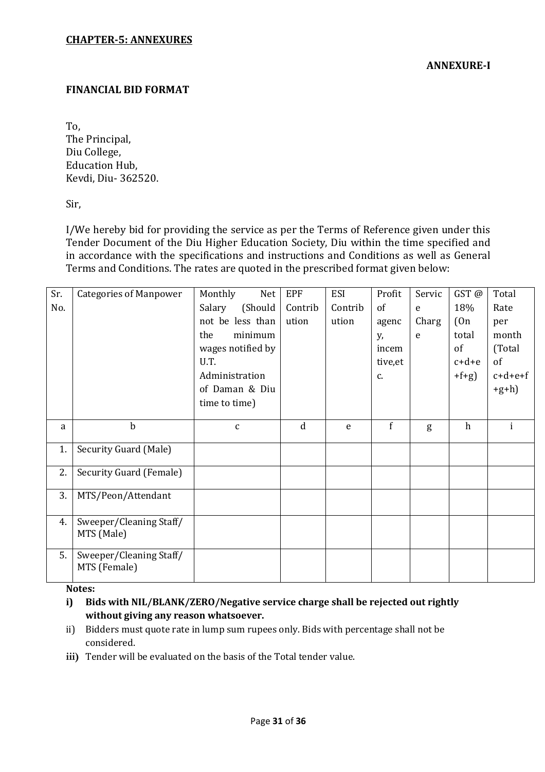#### **FINANCIAL BID FORMAT**

To,

The Principal, Diu College, Education Hub, Kevdi, Diu- 362520.

Sir,

I/We hereby bid for providing the service as per the Terms of Reference given under this Tender Document of the Diu Higher Education Society, Diu within the time specified and in accordance with the specifications and instructions and Conditions as well as General Terms and Conditions. The rates are quoted in the prescribed format given below:

| Sr. | <b>Categories of Manpower</b> | Monthly<br>Net    | <b>EPF</b>  | <b>ESI</b> | Profit        | Servic | GST@    | Total     |
|-----|-------------------------------|-------------------|-------------|------------|---------------|--------|---------|-----------|
| No. |                               | (Should<br>Salary | Contrib     | Contrib    | 0f            | e      | 18%     | Rate      |
|     |                               | not be less than  | ution       | ution      | agenc         | Charg  | (0n)    | per       |
|     |                               | minimum<br>the    |             |            | у,            | e      | total   | month     |
|     |                               | wages notified by |             |            | incem         |        | of      | (Total    |
|     |                               | U.T.              |             |            | tive, et      |        | $c+d+e$ | of        |
|     |                               | Administration    |             |            | $C_{\bullet}$ |        | $+f+g$  | $c+d+e+f$ |
|     |                               | of Daman & Diu    |             |            |               |        |         | $+g+h$ )  |
|     |                               | time to time)     |             |            |               |        |         |           |
|     |                               |                   |             |            |               |        |         |           |
| a   | $\mathbf b$                   | $\mathsf{C}$      | $\mathbf d$ | e          | f             | g      | h       |           |
| 1.  | Security Guard (Male)         |                   |             |            |               |        |         |           |
|     |                               |                   |             |            |               |        |         |           |
| 2.  | Security Guard (Female)       |                   |             |            |               |        |         |           |
|     |                               |                   |             |            |               |        |         |           |
| 3.  | MTS/Peon/Attendant            |                   |             |            |               |        |         |           |
|     |                               |                   |             |            |               |        |         |           |
| 4.  | Sweeper/Cleaning Staff/       |                   |             |            |               |        |         |           |
|     | MTS (Male)                    |                   |             |            |               |        |         |           |
| 5.  | Sweeper/Cleaning Staff/       |                   |             |            |               |        |         |           |
|     | MTS (Female)                  |                   |             |            |               |        |         |           |
|     |                               |                   |             |            |               |        |         |           |

**Notes:** 

**i) Bids with NIL/BLANK/ZERO/Negative service charge shall be rejected out rightly without giving any reason whatsoever.** 

- ii) Bidders must quote rate in lump sum rupees only. Bids with percentage shall not be considered.
- **iii)** Tender will be evaluated on the basis of the Total tender value.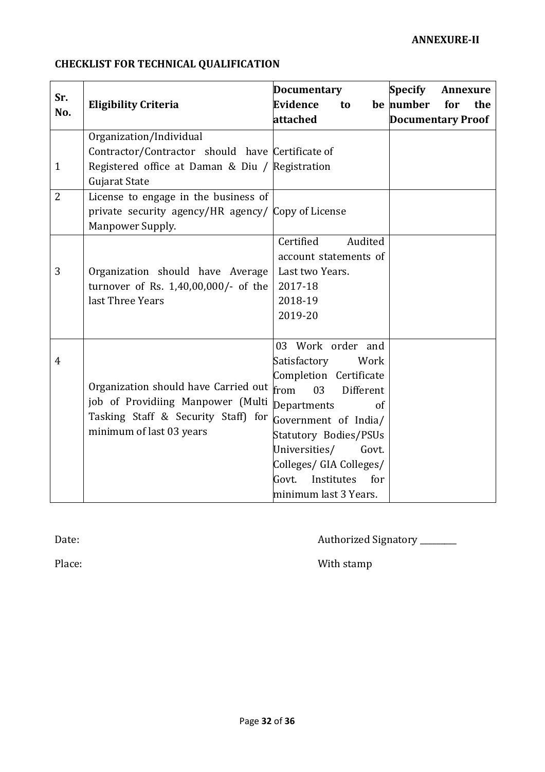# **CHECKLIST FOR TECHNICAL QUALIFICATION**

| Sr.<br>No.     | <b>Eligibility Criteria</b>                                                                                                                     | <b>Documentary</b><br><b>Evidence</b><br>to<br>attached                                                                                                                                                                                                                          | <b>Specify</b><br>Annexure<br>be number<br>for<br>the<br><b>Documentary Proof</b> |
|----------------|-------------------------------------------------------------------------------------------------------------------------------------------------|----------------------------------------------------------------------------------------------------------------------------------------------------------------------------------------------------------------------------------------------------------------------------------|-----------------------------------------------------------------------------------|
| $\mathbf{1}$   | Organization/Individual<br>Contractor/Contractor should have Certificate of<br>Registered office at Daman & Diu / Registration<br>Gujarat State |                                                                                                                                                                                                                                                                                  |                                                                                   |
| $\overline{2}$ | License to engage in the business of<br>private security agency/HR agency/ Copy of License<br>Manpower Supply.                                  |                                                                                                                                                                                                                                                                                  |                                                                                   |
| 3              | Organization should have Average<br>turnover of Rs. 1,40,00,000/- of the<br>last Three Years                                                    | Certified<br>Audited<br>account statements of<br>Last two Years.<br>2017-18<br>2018-19<br>2019-20                                                                                                                                                                                |                                                                                   |
| $\overline{4}$ | Organization should have Carried out<br>job of Providiing Manpower (Multi<br>Tasking Staff & Security Staff) for<br>minimum of last 03 years    | 03 Work order and<br>Satisfactory<br>Work<br>Completion Certificate<br>from<br>03<br>Different<br>Departments<br>of<br>Government of India/<br>Statutory Bodies/PSUs<br>Universities/<br>Govt.<br>Colleges/ GIA Colleges/<br>Institutes<br>for<br>Govt.<br>minimum last 3 Years. |                                                                                   |

Date:  $\qquad \qquad \text{Buthoriced Signatory}\qquad \text{...}$ 

Place: With stamp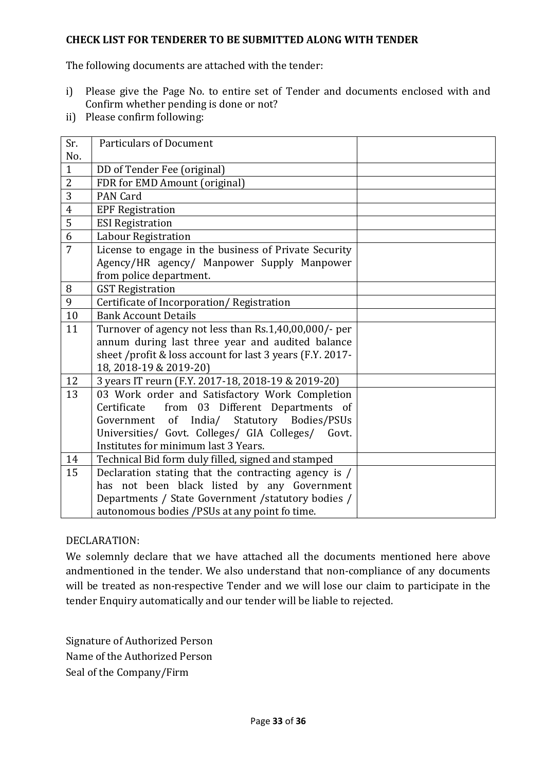#### **CHECK LIST FOR TENDERER TO BE SUBMITTED ALONG WITH TENDER**

The following documents are attached with the tender:

- i) Please give the Page No. to entire set of Tender and documents enclosed with and Confirm whether pending is done or not?
- ii) Please confirm following:

| Sr.            | <b>Particulars of Document</b>                            |  |  |  |
|----------------|-----------------------------------------------------------|--|--|--|
| No.            |                                                           |  |  |  |
| $\mathbf{1}$   | DD of Tender Fee (original)                               |  |  |  |
| $\overline{2}$ | FDR for EMD Amount (original)                             |  |  |  |
| 3              | <b>PAN Card</b>                                           |  |  |  |
| $\overline{4}$ | <b>EPF Registration</b>                                   |  |  |  |
| $\overline{5}$ | <b>ESI Registration</b>                                   |  |  |  |
| 6              | Labour Registration                                       |  |  |  |
| 7              | License to engage in the business of Private Security     |  |  |  |
|                | Agency/HR agency/ Manpower Supply Manpower                |  |  |  |
|                | from police department.                                   |  |  |  |
| 8              | <b>GST Registration</b>                                   |  |  |  |
| 9              | Certificate of Incorporation/Registration                 |  |  |  |
| 10             | <b>Bank Account Details</b>                               |  |  |  |
| 11             | Turnover of agency not less than Rs.1,40,00,000/- per     |  |  |  |
|                | annum during last three year and audited balance          |  |  |  |
|                | sheet /profit & loss account for last 3 years (F.Y. 2017- |  |  |  |
|                | 18, 2018-19 & 2019-20)                                    |  |  |  |
| 12             | 3 years IT reurn (F.Y. 2017-18, 2018-19 & 2019-20)        |  |  |  |
| 13             | 03 Work order and Satisfactory Work Completion            |  |  |  |
|                | from 03 Different Departments of<br>Certificate           |  |  |  |
|                | Government of India/ Statutory Bodies/PSUs                |  |  |  |
|                | Universities/ Govt. Colleges/ GIA Colleges/ Govt.         |  |  |  |
|                | Institutes for minimum last 3 Years.                      |  |  |  |
| 14             | Technical Bid form duly filled, signed and stamped        |  |  |  |
| 15             | Declaration stating that the contracting agency is /      |  |  |  |
|                | has not been black listed by any Government               |  |  |  |
|                | Departments / State Government / statutory bodies /       |  |  |  |
|                | autonomous bodies /PSUs at any point fo time.             |  |  |  |

#### DECLARATION:

We solemnly declare that we have attached all the documents mentioned here above andmentioned in the tender. We also understand that non-compliance of any documents will be treated as non-respective Tender and we will lose our claim to participate in the tender Enquiry automatically and our tender will be liable to rejected.

Signature of Authorized Person Name of the Authorized Person Seal of the Company/Firm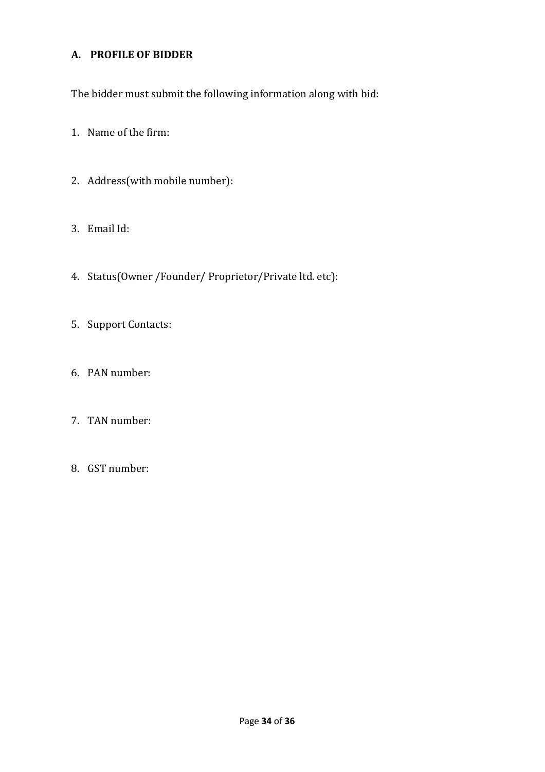#### **A. PROFILE OF BIDDER**

The bidder must submit the following information along with bid:

- 1. Name of the firm:
- 2. Address(with mobile number):
- 3. Email Id:
- 4. Status(Owner /Founder/ Proprietor/Private ltd. etc):
- 5. Support Contacts:
- 6. PAN number:
- 7. TAN number:
- 8. GST number: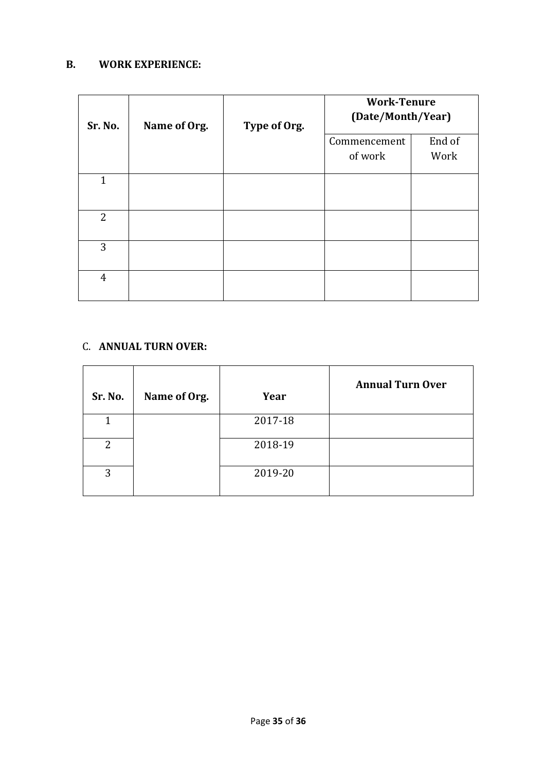#### **B. WORK EXPERIENCE:**

| Sr. No.        | Name of Org. | Type of Org. | <b>Work-Tenure</b><br>(Date/Month/Year) |        |
|----------------|--------------|--------------|-----------------------------------------|--------|
|                |              |              | Commencement                            | End of |
|                |              |              | of work                                 | Work   |
| $\mathbf{1}$   |              |              |                                         |        |
| $\overline{2}$ |              |              |                                         |        |
| 3              |              |              |                                         |        |
| $\overline{4}$ |              |              |                                         |        |

#### C. **ANNUAL TURN OVER:**

| Sr. No. | Name of Org. | Year    | <b>Annual Turn Over</b> |
|---------|--------------|---------|-------------------------|
|         |              | 2017-18 |                         |
| 2       |              | 2018-19 |                         |
| 3       |              | 2019-20 |                         |